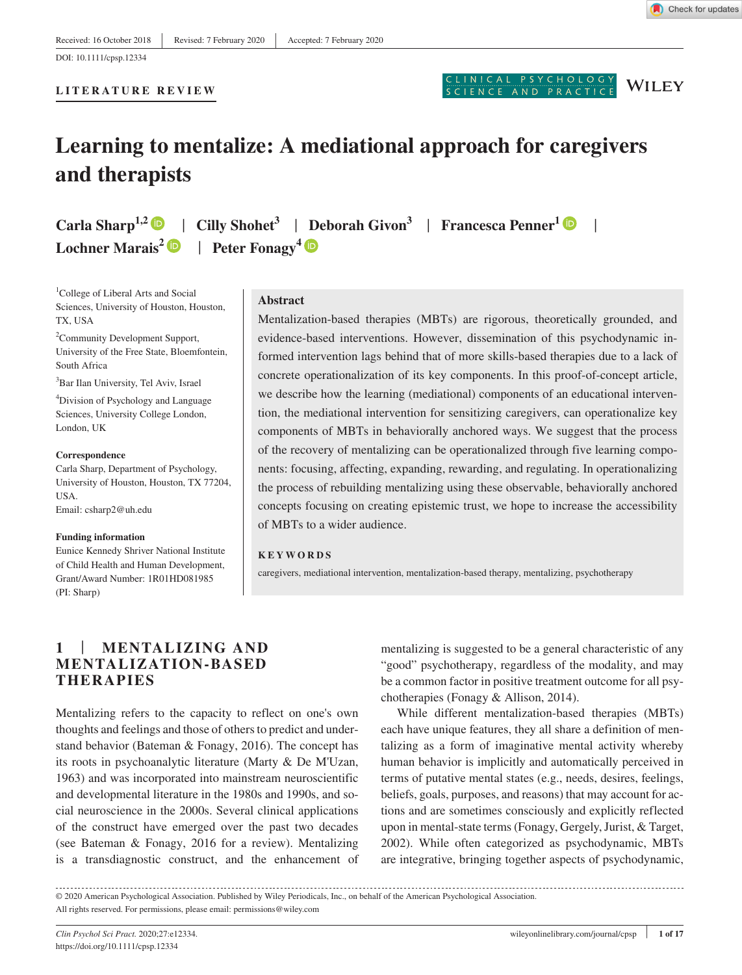# **LITERATURE REVIEW**

#### $INICAI$ **WILEY** IFNCF AND PRACTICE

# **Learning to mentalize: A mediational approach for caregivers and therapists**

**Carla Sharp<sup>1,2</sup>**  $\bullet$  **[|](https://orcid.org/0000-0002-0299-3435) Cilly Shohet<sup>3</sup> | Deborah Givon<sup>3</sup> | Francesca Penner<sup>1</sup>**  $\bullet$ **Lochner Marais2** | **Peter Fonagy[4](https://orcid.org/0000-0003-0229-0091)**

<sup>1</sup>College of Liberal Arts and Social Sciences, University of Houston, Houston, TX, USA

<sup>2</sup>Community Development Support, University of the Free State, Bloemfontein, South Africa

3 Bar Ilan University, Tel Aviv, Israel

4 Division of Psychology and Language Sciences, University College London, London, UK

#### **Correspondence**

Carla Sharp, Department of Psychology, University of Houston, Houston, TX 77204, USA. Email: [csharp2@uh.edu](mailto:csharp2@uh.edu)

#### **Funding information**

Eunice Kennedy Shriver National Institute of Child Health and Human Development, Grant/Award Number: 1R01HD081985 (PI: Sharp)

#### **Abstract**

Mentalization-based therapies (MBTs) are rigorous, theoretically grounded, and evidence-based interventions. However, dissemination of this psychodynamic informed intervention lags behind that of more skills-based therapies due to a lack of concrete operationalization of its key components. In this proof-of-concept article, we describe how the learning (mediational) components of an educational intervention, the mediational intervention for sensitizing caregivers, can operationalize key components of MBTs in behaviorally anchored ways. We suggest that the process of the recovery of mentalizing can be operationalized through five learning components: focusing, affecting, expanding, rewarding, and regulating. In operationalizing the process of rebuilding mentalizing using these observable, behaviorally anchored concepts focusing on creating epistemic trust, we hope to increase the accessibility of MBTs to a wider audience.

#### **KEYWORDS**

caregivers, mediational intervention, mentalization-based therapy, mentalizing, psychotherapy

## **1** | **MENTALIZING AND MENTALIZATION-BASED THERAPIES**

Mentalizing refers to the capacity to reflect on one's own thoughts and feelings and those of others to predict and understand behavior (Bateman & Fonagy, 2016). The concept has its roots in psychoanalytic literature (Marty & De M'Uzan, 1963) and was incorporated into mainstream neuroscientific and developmental literature in the 1980s and 1990s, and social neuroscience in the 2000s. Several clinical applications of the construct have emerged over the past two decades (see Bateman & Fonagy, 2016 for a review). Mentalizing is a transdiagnostic construct, and the enhancement of mentalizing is suggested to be a general characteristic of any "good" psychotherapy, regardless of the modality, and may be a common factor in positive treatment outcome for all psychotherapies (Fonagy & Allison, 2014).

While different mentalization-based therapies (MBTs) each have unique features, they all share a definition of mentalizing as a form of imaginative mental activity whereby human behavior is implicitly and automatically perceived in terms of putative mental states (e.g., needs, desires, feelings, beliefs, goals, purposes, and reasons) that may account for actions and are sometimes consciously and explicitly reflected upon in mental-state terms (Fonagy, Gergely, Jurist, & Target, 2002). While often categorized as psychodynamic, MBTs are integrative, bringing together aspects of psychodynamic,

<sup>© 2020</sup> American Psychological Association. Published by Wiley Periodicals, Inc., on behalf of the American Psychological Association. All rights reserved. For permissions, please email: permissions@wiley.com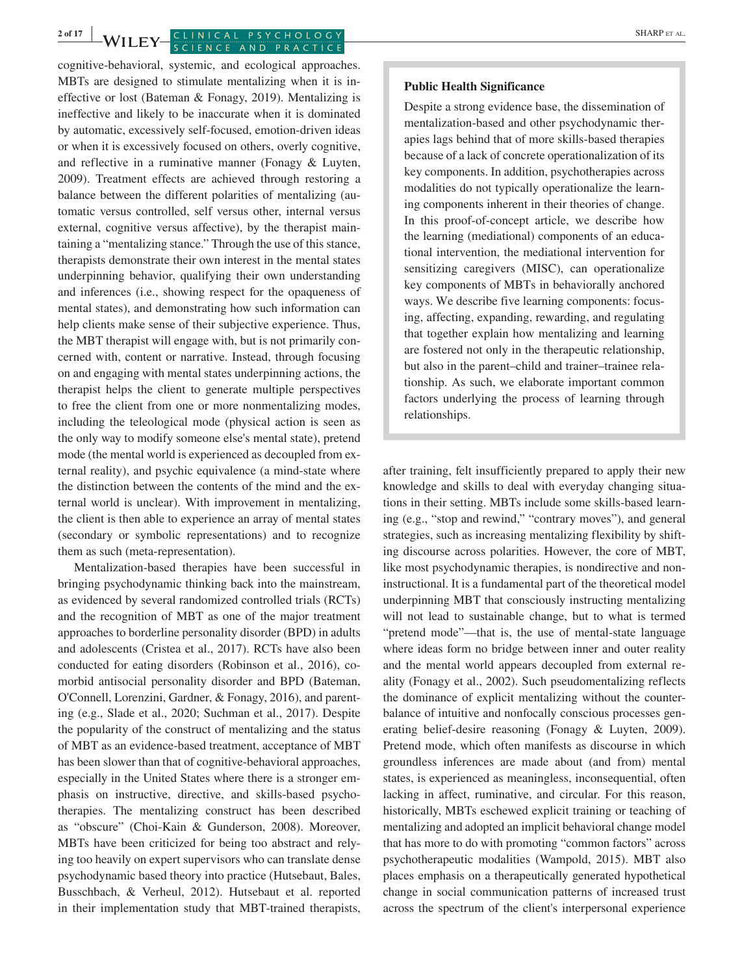cognitive-behavioral, systemic, and ecological approaches. MBTs are designed to stimulate mentalizing when it is ineffective or lost (Bateman & Fonagy, 2019). Mentalizing is ineffective and likely to be inaccurate when it is dominated by automatic, excessively self-focused, emotion-driven ideas or when it is excessively focused on others, overly cognitive, and reflective in a ruminative manner (Fonagy & Luyten, 2009). Treatment effects are achieved through restoring a balance between the different polarities of mentalizing (automatic versus controlled, self versus other, internal versus external, cognitive versus affective), by the therapist maintaining a "mentalizing stance." Through the use of this stance, therapists demonstrate their own interest in the mental states underpinning behavior, qualifying their own understanding and inferences (i.e., showing respect for the opaqueness of mental states), and demonstrating how such information can help clients make sense of their subjective experience. Thus, the MBT therapist will engage with, but is not primarily concerned with, content or narrative. Instead, through focusing on and engaging with mental states underpinning actions, the therapist helps the client to generate multiple perspectives to free the client from one or more nonmentalizing modes, including the teleological mode (physical action is seen as the only way to modify someone else's mental state), pretend mode (the mental world is experienced as decoupled from external reality), and psychic equivalence (a mind-state where the distinction between the contents of the mind and the external world is unclear). With improvement in mentalizing, the client is then able to experience an array of mental states (secondary or symbolic representations) and to recognize them as such (meta-representation).

Mentalization-based therapies have been successful in bringing psychodynamic thinking back into the mainstream, as evidenced by several randomized controlled trials (RCTs) and the recognition of MBT as one of the major treatment approaches to borderline personality disorder (BPD) in adults and adolescents (Cristea et al., 2017). RCTs have also been conducted for eating disorders (Robinson et al., 2016), comorbid antisocial personality disorder and BPD (Bateman, O'Connell, Lorenzini, Gardner, & Fonagy, 2016), and parenting (e.g., Slade et al., 2020; Suchman et al., 2017). Despite the popularity of the construct of mentalizing and the status of MBT as an evidence-based treatment, acceptance of MBT has been slower than that of cognitive-behavioral approaches, especially in the United States where there is a stronger emphasis on instructive, directive, and skills-based psychotherapies. The mentalizing construct has been described as "obscure" (Choi-Kain & Gunderson, 2008). Moreover, MBTs have been criticized for being too abstract and relying too heavily on expert supervisors who can translate dense psychodynamic based theory into practice (Hutsebaut, Bales, Busschbach, & Verheul, 2012). Hutsebaut et al. reported in their implementation study that MBT-trained therapists,

#### **Public Health Significance**

Despite a strong evidence base, the dissemination of mentalization-based and other psychodynamic therapies lags behind that of more skills-based therapies because of a lack of concrete operationalization of its key components. In addition, psychotherapies across modalities do not typically operationalize the learning components inherent in their theories of change. In this proof-of-concept article, we describe how the learning (mediational) components of an educational intervention, the mediational intervention for sensitizing caregivers (MISC), can operationalize key components of MBTs in behaviorally anchored ways. We describe five learning components: focusing, affecting, expanding, rewarding, and regulating that together explain how mentalizing and learning are fostered not only in the therapeutic relationship, but also in the parent–child and trainer–trainee relationship. As such, we elaborate important common factors underlying the process of learning through relationships.

after training, felt insufficiently prepared to apply their new knowledge and skills to deal with everyday changing situations in their setting. MBTs include some skills-based learning (e.g., "stop and rewind," "contrary moves"), and general strategies, such as increasing mentalizing flexibility by shifting discourse across polarities. However, the core of MBT, like most psychodynamic therapies, is nondirective and noninstructional. It is a fundamental part of the theoretical model underpinning MBT that consciously instructing mentalizing will not lead to sustainable change, but to what is termed "pretend mode"—that is, the use of mental-state language where ideas form no bridge between inner and outer reality and the mental world appears decoupled from external reality (Fonagy et al., 2002). Such pseudomentalizing reflects the dominance of explicit mentalizing without the counterbalance of intuitive and nonfocally conscious processes generating belief-desire reasoning (Fonagy & Luyten, 2009). Pretend mode, which often manifests as discourse in which groundless inferences are made about (and from) mental states, is experienced as meaningless, inconsequential, often lacking in affect, ruminative, and circular. For this reason, historically, MBTs eschewed explicit training or teaching of mentalizing and adopted an implicit behavioral change model that has more to do with promoting "common factors" across psychotherapeutic modalities (Wampold, 2015). MBT also places emphasis on a therapeutically generated hypothetical change in social communication patterns of increased trust across the spectrum of the client's interpersonal experience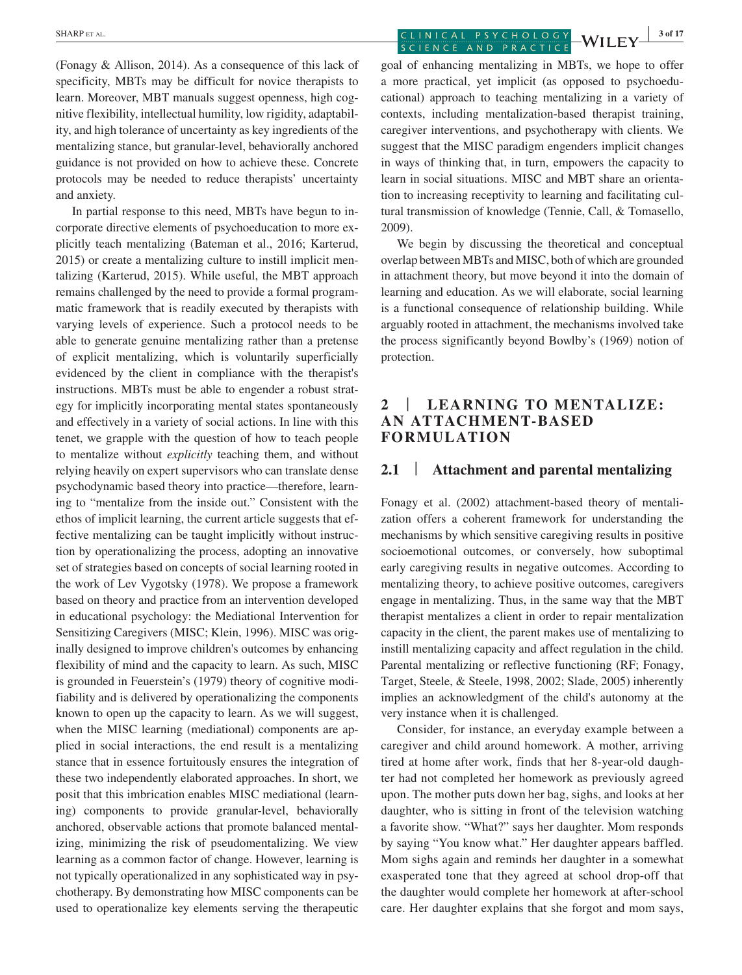(Fonagy & Allison, 2014). As a consequence of this lack of specificity, MBTs may be difficult for novice therapists to learn. Moreover, MBT manuals suggest openness, high cognitive flexibility, intellectual humility, low rigidity, adaptability, and high tolerance of uncertainty as key ingredients of the mentalizing stance, but granular-level, behaviorally anchored guidance is not provided on how to achieve these. Concrete protocols may be needed to reduce therapists' uncertainty and anxiety.

In partial response to this need, MBTs have begun to incorporate directive elements of psychoeducation to more explicitly teach mentalizing (Bateman et al., 2016; Karterud, 2015) or create a mentalizing culture to instill implicit mentalizing (Karterud, 2015). While useful, the MBT approach remains challenged by the need to provide a formal programmatic framework that is readily executed by therapists with varying levels of experience. Such a protocol needs to be able to generate genuine mentalizing rather than a pretense of explicit mentalizing, which is voluntarily superficially evidenced by the client in compliance with the therapist's instructions. MBTs must be able to engender a robust strategy for implicitly incorporating mental states spontaneously and effectively in a variety of social actions. In line with this tenet, we grapple with the question of how to teach people to mentalize without *explicitly* teaching them, and without relying heavily on expert supervisors who can translate dense psychodynamic based theory into practice—therefore, learning to "mentalize from the inside out." Consistent with the ethos of implicit learning, the current article suggests that effective mentalizing can be taught implicitly without instruction by operationalizing the process, adopting an innovative set of strategies based on concepts of social learning rooted in the work of Lev Vygotsky (1978). We propose a framework based on theory and practice from an intervention developed in educational psychology: the Mediational Intervention for Sensitizing Caregivers (MISC; Klein, 1996). MISC was originally designed to improve children's outcomes by enhancing flexibility of mind and the capacity to learn. As such, MISC is grounded in Feuerstein's (1979) theory of cognitive modifiability and is delivered by operationalizing the components known to open up the capacity to learn. As we will suggest, when the MISC learning (mediational) components are applied in social interactions, the end result is a mentalizing stance that in essence fortuitously ensures the integration of these two independently elaborated approaches. In short, we posit that this imbrication enables MISC mediational (learning) components to provide granular-level, behaviorally anchored, observable actions that promote balanced mentalizing, minimizing the risk of pseudomentalizing. We view learning as a common factor of change. However, learning is not typically operationalized in any sophisticated way in psychotherapy. By demonstrating how MISC components can be used to operationalize key elements serving the therapeutic

**EXAMPETAL.**<br>
SCIENCE AND PRACTICE WILEY 30117

goal of enhancing mentalizing in MBTs, we hope to offer a more practical, yet implicit (as opposed to psychoeducational) approach to teaching mentalizing in a variety of contexts, including mentalization-based therapist training, caregiver interventions, and psychotherapy with clients. We suggest that the MISC paradigm engenders implicit changes in ways of thinking that, in turn, empowers the capacity to learn in social situations. MISC and MBT share an orientation to increasing receptivity to learning and facilitating cultural transmission of knowledge (Tennie, Call, & Tomasello, 2009).

We begin by discussing the theoretical and conceptual overlap between MBTs and MISC, both of which are grounded in attachment theory, but move beyond it into the domain of learning and education. As we will elaborate, social learning is a functional consequence of relationship building. While arguably rooted in attachment, the mechanisms involved take the process significantly beyond Bowlby's (1969) notion of protection.

#### **2** | **LEARNING TO MENTALIZE: AN ATTACHMENT-BASED FORMULATION**

#### **2.1** | **Attachment and parental mentalizing**

Fonagy et al. (2002) attachment-based theory of mentalization offers a coherent framework for understanding the mechanisms by which sensitive caregiving results in positive socioemotional outcomes, or conversely, how suboptimal early caregiving results in negative outcomes. According to mentalizing theory, to achieve positive outcomes, caregivers engage in mentalizing. Thus, in the same way that the MBT therapist mentalizes a client in order to repair mentalization capacity in the client, the parent makes use of mentalizing to instill mentalizing capacity and affect regulation in the child. Parental mentalizing or reflective functioning (RF; Fonagy, Target, Steele, & Steele, 1998, 2002; Slade, 2005) inherently implies an acknowledgment of the child's autonomy at the very instance when it is challenged.

Consider, for instance, an everyday example between a caregiver and child around homework. A mother, arriving tired at home after work, finds that her 8-year-old daughter had not completed her homework as previously agreed upon. The mother puts down her bag, sighs, and looks at her daughter, who is sitting in front of the television watching a favorite show. "What?" says her daughter. Mom responds by saying "You know what." Her daughter appears baffled. Mom sighs again and reminds her daughter in a somewhat exasperated tone that they agreed at school drop-off that the daughter would complete her homework at after-school care. Her daughter explains that she forgot and mom says,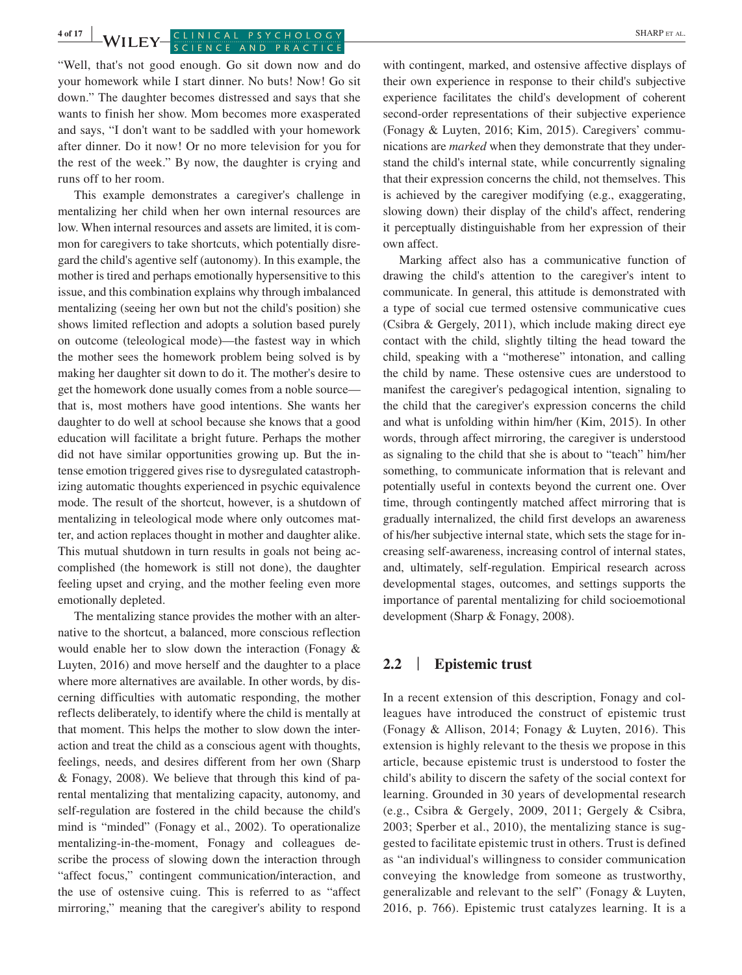"Well, that's not good enough. Go sit down now and do your homework while I start dinner. No buts! Now! Go sit down." The daughter becomes distressed and says that she wants to finish her show. Mom becomes more exasperated and says, "I don't want to be saddled with your homework after dinner. Do it now! Or no more television for you for the rest of the week." By now, the daughter is crying and runs off to her room.

This example demonstrates a caregiver's challenge in mentalizing her child when her own internal resources are low. When internal resources and assets are limited, it is common for caregivers to take shortcuts, which potentially disregard the child's agentive self (autonomy). In this example, the mother is tired and perhaps emotionally hypersensitive to this issue, and this combination explains why through imbalanced mentalizing (seeing her own but not the child's position) she shows limited reflection and adopts a solution based purely on outcome (teleological mode)—the fastest way in which the mother sees the homework problem being solved is by making her daughter sit down to do it. The mother's desire to get the homework done usually comes from a noble source that is, most mothers have good intentions. She wants her daughter to do well at school because she knows that a good education will facilitate a bright future. Perhaps the mother did not have similar opportunities growing up. But the intense emotion triggered gives rise to dysregulated catastrophizing automatic thoughts experienced in psychic equivalence mode. The result of the shortcut, however, is a shutdown of mentalizing in teleological mode where only outcomes matter, and action replaces thought in mother and daughter alike. This mutual shutdown in turn results in goals not being accomplished (the homework is still not done), the daughter feeling upset and crying, and the mother feeling even more emotionally depleted.

The mentalizing stance provides the mother with an alternative to the shortcut, a balanced, more conscious reflection would enable her to slow down the interaction (Fonagy & Luyten, 2016) and move herself and the daughter to a place where more alternatives are available. In other words, by discerning difficulties with automatic responding, the mother reflects deliberately, to identify where the child is mentally at that moment. This helps the mother to slow down the interaction and treat the child as a conscious agent with thoughts, feelings, needs, and desires different from her own (Sharp & Fonagy, 2008). We believe that through this kind of parental mentalizing that mentalizing capacity, autonomy, and self-regulation are fostered in the child because the child's mind is "minded" (Fonagy et al., 2002). To operationalize mentalizing-in-the-moment, Fonagy and colleagues describe the process of slowing down the interaction through "affect focus," contingent communication/interaction, and the use of ostensive cuing. This is referred to as "affect mirroring," meaning that the caregiver's ability to respond

with contingent, marked, and ostensive affective displays of their own experience in response to their child's subjective experience facilitates the child's development of coherent second-order representations of their subjective experience (Fonagy & Luyten, 2016; Kim, 2015). Caregivers' communications are *marked* when they demonstrate that they understand the child's internal state, while concurrently signaling that their expression concerns the child, not themselves. This is achieved by the caregiver modifying (e.g., exaggerating, slowing down) their display of the child's affect, rendering it perceptually distinguishable from her expression of their own affect.

Marking affect also has a communicative function of drawing the child's attention to the caregiver's intent to communicate. In general, this attitude is demonstrated with a type of social cue termed ostensive communicative cues (Csibra & Gergely, 2011), which include making direct eye contact with the child, slightly tilting the head toward the child, speaking with a "motherese" intonation, and calling the child by name. These ostensive cues are understood to manifest the caregiver's pedagogical intention, signaling to the child that the caregiver's expression concerns the child and what is unfolding within him/her (Kim, 2015). In other words, through affect mirroring, the caregiver is understood as signaling to the child that she is about to "teach" him/her something, to communicate information that is relevant and potentially useful in contexts beyond the current one. Over time, through contingently matched affect mirroring that is gradually internalized, the child first develops an awareness of his/her subjective internal state, which sets the stage for increasing self-awareness, increasing control of internal states, and, ultimately, self-regulation. Empirical research across developmental stages, outcomes, and settings supports the importance of parental mentalizing for child socioemotional development (Sharp & Fonagy, 2008).

#### **2.2** | **Epistemic trust**

In a recent extension of this description, Fonagy and colleagues have introduced the construct of epistemic trust (Fonagy & Allison, 2014; Fonagy & Luyten, 2016). This extension is highly relevant to the thesis we propose in this article, because epistemic trust is understood to foster the child's ability to discern the safety of the social context for learning. Grounded in 30 years of developmental research (e.g., Csibra & Gergely, 2009, 2011; Gergely & Csibra, 2003; Sperber et al., 2010), the mentalizing stance is suggested to facilitate epistemic trust in others. Trust is defined as "an individual's willingness to consider communication conveying the knowledge from someone as trustworthy, generalizable and relevant to the self" (Fonagy & Luyten, 2016, p. 766). Epistemic trust catalyzes learning. It is a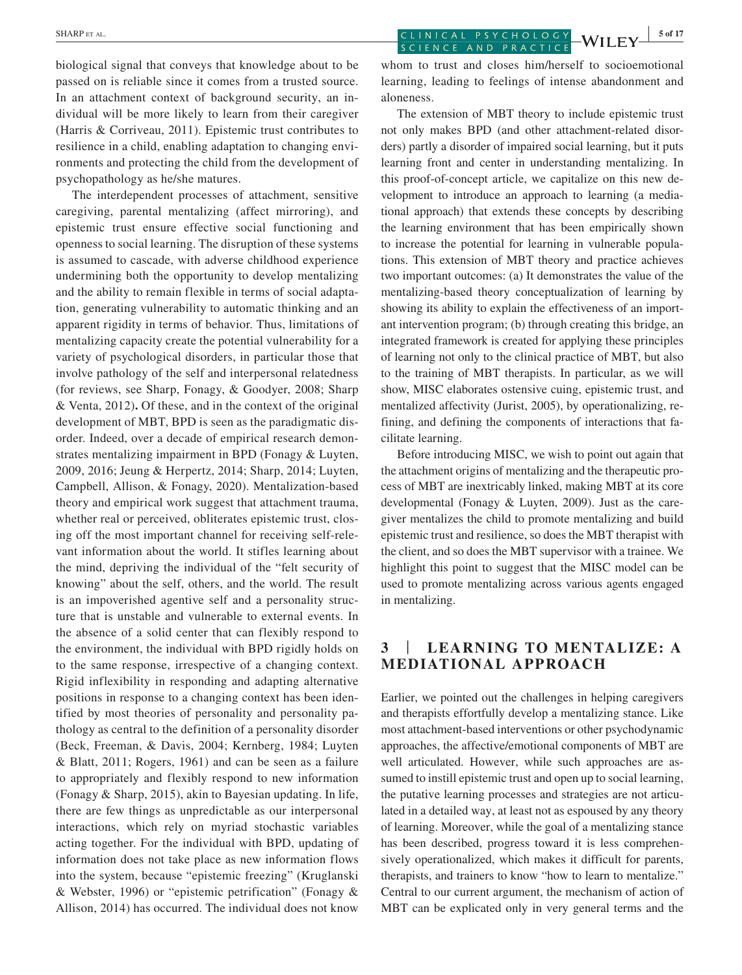biological signal that conveys that knowledge about to be passed on is reliable since it comes from a trusted source. In an attachment context of background security, an individual will be more likely to learn from their caregiver (Harris & Corriveau, 2011). Epistemic trust contributes to resilience in a child, enabling adaptation to changing environments and protecting the child from the development of psychopathology as he/she matures.

The interdependent processes of attachment, sensitive caregiving, parental mentalizing (affect mirroring), and epistemic trust ensure effective social functioning and openness to social learning. The disruption of these systems is assumed to cascade, with adverse childhood experience undermining both the opportunity to develop mentalizing and the ability to remain flexible in terms of social adaptation, generating vulnerability to automatic thinking and an apparent rigidity in terms of behavior. Thus, limitations of mentalizing capacity create the potential vulnerability for a variety of psychological disorders, in particular those that involve pathology of the self and interpersonal relatedness (for reviews, see Sharp, Fonagy, & Goodyer, 2008; Sharp & Venta, 2012)**.** Of these, and in the context of the original development of MBT, BPD is seen as the paradigmatic disorder. Indeed, over a decade of empirical research demonstrates mentalizing impairment in BPD (Fonagy & Luyten, 2009, 2016; Jeung & Herpertz, 2014; Sharp, 2014; Luyten, Campbell, Allison, & Fonagy, 2020). Mentalization-based theory and empirical work suggest that attachment trauma, whether real or perceived, obliterates epistemic trust, closing off the most important channel for receiving self-relevant information about the world. It stifles learning about the mind, depriving the individual of the "felt security of knowing" about the self, others, and the world. The result is an impoverished agentive self and a personality structure that is unstable and vulnerable to external events. In the absence of a solid center that can flexibly respond to the environment, the individual with BPD rigidly holds on to the same response, irrespective of a changing context. Rigid inflexibility in responding and adapting alternative positions in response to a changing context has been identified by most theories of personality and personality pathology as central to the definition of a personality disorder (Beck, Freeman, & Davis, 2004; Kernberg, 1984; Luyten & Blatt, 2011; Rogers, 1961) and can be seen as a failure to appropriately and flexibly respond to new information (Fonagy & Sharp, 2015), akin to Bayesian updating. In life, there are few things as unpredictable as our interpersonal interactions, which rely on myriad stochastic variables acting together. For the individual with BPD, updating of information does not take place as new information flows into the system, because "epistemic freezing" (Kruglanski & Webster, 1996) or "epistemic petrification" (Fonagy & Allison, 2014) has occurred. The individual does not know

**SHARP ET AL. 5 of 17**<br>**5 O L I N I C A L P S Y C H O L O G Y S O L I L E Y 5 of 17**<br>**5 O L I N I C A L P S Y C H O L O G Y W I LEY** 

whom to trust and closes him/herself to socioemotional learning, leading to feelings of intense abandonment and aloneness.

The extension of MBT theory to include epistemic trust not only makes BPD (and other attachment-related disorders) partly a disorder of impaired social learning, but it puts learning front and center in understanding mentalizing. In this proof-of-concept article, we capitalize on this new development to introduce an approach to learning (a mediational approach) that extends these concepts by describing the learning environment that has been empirically shown to increase the potential for learning in vulnerable populations. This extension of MBT theory and practice achieves two important outcomes: (a) It demonstrates the value of the mentalizing-based theory conceptualization of learning by showing its ability to explain the effectiveness of an important intervention program; (b) through creating this bridge, an integrated framework is created for applying these principles of learning not only to the clinical practice of MBT, but also to the training of MBT therapists. In particular, as we will show, MISC elaborates ostensive cuing, epistemic trust, and mentalized affectivity (Jurist, 2005), by operationalizing, refining, and defining the components of interactions that facilitate learning.

Before introducing MISC, we wish to point out again that the attachment origins of mentalizing and the therapeutic process of MBT are inextricably linked, making MBT at its core developmental (Fonagy & Luyten, 2009). Just as the caregiver mentalizes the child to promote mentalizing and build epistemic trust and resilience, so does the MBT therapist with the client, and so does the MBT supervisor with a trainee. We highlight this point to suggest that the MISC model can be used to promote mentalizing across various agents engaged in mentalizing.

## **3** | **LEARNING TO MENTALIZE: A MEDIATIONAL APPROACH**

Earlier, we pointed out the challenges in helping caregivers and therapists effortfully develop a mentalizing stance. Like most attachment-based interventions or other psychodynamic approaches, the affective/emotional components of MBT are well articulated. However, while such approaches are assumed to instill epistemic trust and open up to social learning, the putative learning processes and strategies are not articulated in a detailed way, at least not as espoused by any theory of learning. Moreover, while the goal of a mentalizing stance has been described, progress toward it is less comprehensively operationalized, which makes it difficult for parents, therapists, and trainers to know "how to learn to mentalize." Central to our current argument, the mechanism of action of MBT can be explicated only in very general terms and the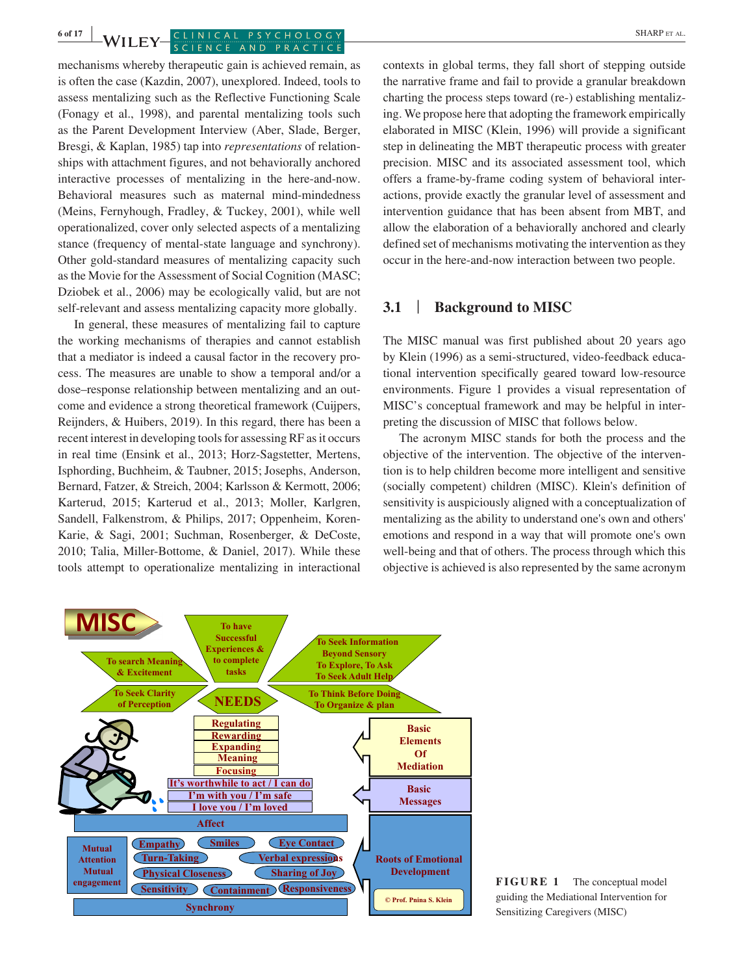mechanisms whereby therapeutic gain is achieved remain, as is often the case (Kazdin, 2007), unexplored. Indeed, tools to assess mentalizing such as the Reflective Functioning Scale (Fonagy et al., 1998), and parental mentalizing tools such as the Parent Development Interview (Aber, Slade, Berger, Bresgi, & Kaplan, 1985) tap into *representations* of relationships with attachment figures, and not behaviorally anchored interactive processes of mentalizing in the here-and-now. Behavioral measures such as maternal mind-mindedness (Meins, Fernyhough, Fradley, & Tuckey, 2001), while well operationalized, cover only selected aspects of a mentalizing stance (frequency of mental-state language and synchrony). Other gold-standard measures of mentalizing capacity such as the Movie for the Assessment of Social Cognition (MASC; Dziobek et al., 2006) may be ecologically valid, but are not self-relevant and assess mentalizing capacity more globally.

In general, these measures of mentalizing fail to capture the working mechanisms of therapies and cannot establish that a mediator is indeed a causal factor in the recovery process. The measures are unable to show a temporal and/or a dose–response relationship between mentalizing and an outcome and evidence a strong theoretical framework (Cuijpers, Reijnders, & Huibers, 2019). In this regard, there has been a recent interest in developing tools for assessing RF as it occurs in real time (Ensink et al., 2013; Horz-Sagstetter, Mertens, Isphording, Buchheim, & Taubner, 2015; Josephs, Anderson, Bernard, Fatzer, & Streich, 2004; Karlsson & Kermott, 2006; Karterud, 2015; Karterud et al., 2013; Moller, Karlgren, Sandell, Falkenstrom, & Philips, 2017; Oppenheim, Koren-Karie, & Sagi, 2001; Suchman, Rosenberger, & DeCoste, 2010; Talia, Miller-Bottome, & Daniel, 2017). While these tools attempt to operationalize mentalizing in interactional contexts in global terms, they fall short of stepping outside the narrative frame and fail to provide a granular breakdown charting the process steps toward (re-) establishing mentalizing. We propose here that adopting the framework empirically elaborated in MISC (Klein, 1996) will provide a significant step in delineating the MBT therapeutic process with greater precision. MISC and its associated assessment tool, which offers a frame-by-frame coding system of behavioral interactions, provide exactly the granular level of assessment and intervention guidance that has been absent from MBT, and allow the elaboration of a behaviorally anchored and clearly defined set of mechanisms motivating the intervention as they occur in the here-and-now interaction between two people.

#### **3.1** | **Background to MISC**

The MISC manual was first published about 20 years ago by Klein (1996) as a semi-structured, video-feedback educational intervention specifically geared toward low-resource environments. Figure 1 provides a visual representation of MISC's conceptual framework and may be helpful in interpreting the discussion of MISC that follows below.

The acronym MISC stands for both the process and the objective of the intervention. The objective of the intervention is to help children become more intelligent and sensitive (socially competent) children (MISC). Klein's definition of sensitivity is auspiciously aligned with a conceptualization of mentalizing as the ability to understand one's own and others' emotions and respond in a way that will promote one's own well-being and that of others. The process through which this objective is achieved is also represented by the same acronym



**FIGURE 1** The conceptual model guiding the Mediational Intervention for Sensitizing Caregivers (MISC)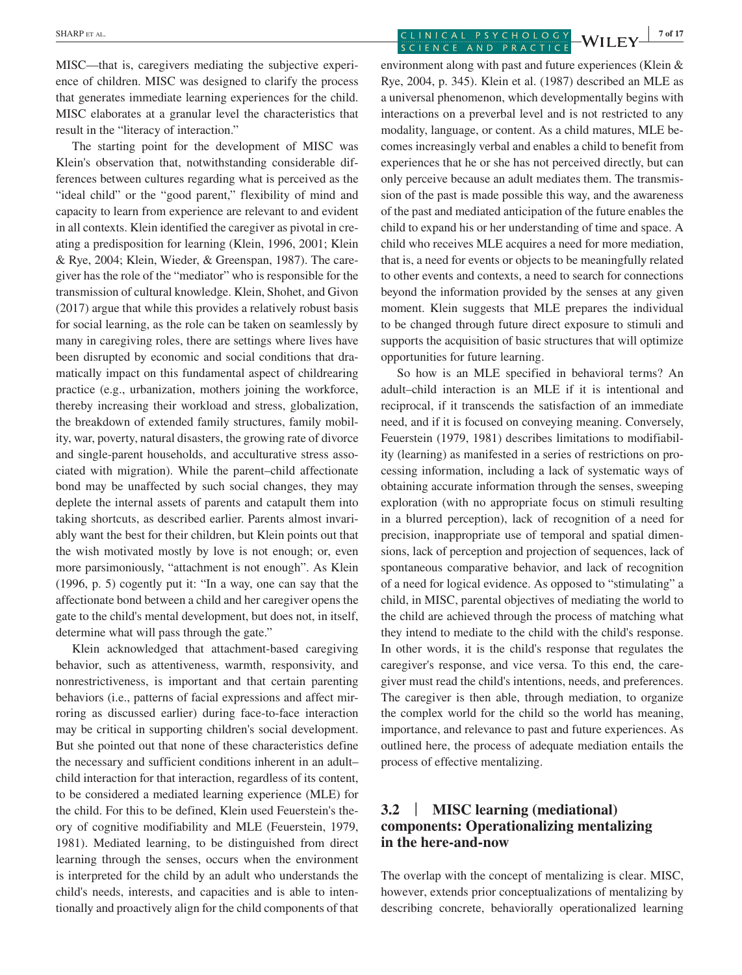MISC—that is, caregivers mediating the subjective experience of children. MISC was designed to clarify the process that generates immediate learning experiences for the child. MISC elaborates at a granular level the characteristics that result in the "literacy of interaction."

The starting point for the development of MISC was Klein's observation that, notwithstanding considerable differences between cultures regarding what is perceived as the "ideal child" or the "good parent," flexibility of mind and capacity to learn from experience are relevant to and evident in all contexts. Klein identified the caregiver as pivotal in creating a predisposition for learning (Klein, 1996, 2001; Klein & Rye, 2004; Klein, Wieder, & Greenspan, 1987). The caregiver has the role of the "mediator" who is responsible for the transmission of cultural knowledge. Klein, Shohet, and Givon (2017) argue that while this provides a relatively robust basis for social learning, as the role can be taken on seamlessly by many in caregiving roles, there are settings where lives have been disrupted by economic and social conditions that dramatically impact on this fundamental aspect of childrearing practice (e.g., urbanization, mothers joining the workforce, thereby increasing their workload and stress, globalization, the breakdown of extended family structures, family mobility, war, poverty, natural disasters, the growing rate of divorce and single-parent households, and acculturative stress associated with migration). While the parent–child affectionate bond may be unaffected by such social changes, they may deplete the internal assets of parents and catapult them into taking shortcuts, as described earlier. Parents almost invariably want the best for their children, but Klein points out that the wish motivated mostly by love is not enough; or, even more parsimoniously, "attachment is not enough". As Klein (1996, p. 5) cogently put it: "In a way, one can say that the affectionate bond between a child and her caregiver opens the gate to the child's mental development, but does not, in itself, determine what will pass through the gate."

Klein acknowledged that attachment-based caregiving behavior, such as attentiveness, warmth, responsivity, and nonrestrictiveness, is important and that certain parenting behaviors (i.e., patterns of facial expressions and affect mirroring as discussed earlier) during face-to-face interaction may be critical in supporting children's social development. But she pointed out that none of these characteristics define the necessary and sufficient conditions inherent in an adult– child interaction for that interaction, regardless of its content, to be considered a mediated learning experience (MLE) for the child. For this to be defined, Klein used Feuerstein's theory of cognitive modifiability and MLE (Feuerstein, 1979, 1981). Mediated learning, to be distinguished from direct learning through the senses, occurs when the environment is interpreted for the child by an adult who understands the child's needs, interests, and capacities and is able to intentionally and proactively align for the child components of that

**EXAMPETAL.**<br>
SCIENCE AND PRACTICE WILEY 7 of 17

environment along with past and future experiences (Klein & Rye, 2004, p. 345). Klein et al. (1987) described an MLE as a universal phenomenon, which developmentally begins with interactions on a preverbal level and is not restricted to any modality, language, or content. As a child matures, MLE becomes increasingly verbal and enables a child to benefit from experiences that he or she has not perceived directly, but can only perceive because an adult mediates them. The transmission of the past is made possible this way, and the awareness of the past and mediated anticipation of the future enables the child to expand his or her understanding of time and space. A child who receives MLE acquires a need for more mediation, that is, a need for events or objects to be meaningfully related to other events and contexts, a need to search for connections beyond the information provided by the senses at any given moment. Klein suggests that MLE prepares the individual to be changed through future direct exposure to stimuli and supports the acquisition of basic structures that will optimize opportunities for future learning.

So how is an MLE specified in behavioral terms? An adult–child interaction is an MLE if it is intentional and reciprocal, if it transcends the satisfaction of an immediate need, and if it is focused on conveying meaning. Conversely, Feuerstein (1979, 1981) describes limitations to modifiability (learning) as manifested in a series of restrictions on processing information, including a lack of systematic ways of obtaining accurate information through the senses, sweeping exploration (with no appropriate focus on stimuli resulting in a blurred perception), lack of recognition of a need for precision, inappropriate use of temporal and spatial dimensions, lack of perception and projection of sequences, lack of spontaneous comparative behavior, and lack of recognition of a need for logical evidence. As opposed to "stimulating" a child, in MISC, parental objectives of mediating the world to the child are achieved through the process of matching what they intend to mediate to the child with the child's response. In other words, it is the child's response that regulates the caregiver's response, and vice versa. To this end, the caregiver must read the child's intentions, needs, and preferences. The caregiver is then able, through mediation, to organize the complex world for the child so the world has meaning, importance, and relevance to past and future experiences. As outlined here, the process of adequate mediation entails the process of effective mentalizing.

#### **3.2** | **MISC learning (mediational) components: Operationalizing mentalizing in the here-and-now**

The overlap with the concept of mentalizing is clear. MISC, however, extends prior conceptualizations of mentalizing by describing concrete, behaviorally operationalized learning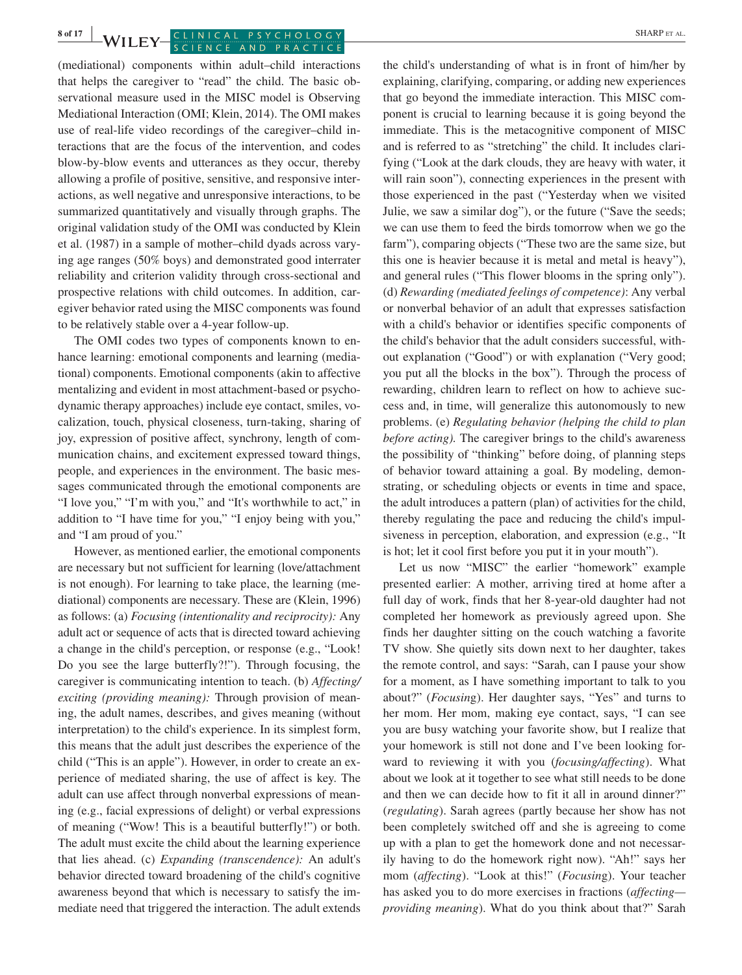(mediational) components within adult–child interactions that helps the caregiver to "read" the child. The basic observational measure used in the MISC model is Observing Mediational Interaction (OMI; Klein, 2014). The OMI makes use of real-life video recordings of the caregiver–child interactions that are the focus of the intervention, and codes blow-by-blow events and utterances as they occur, thereby allowing a profile of positive, sensitive, and responsive interactions, as well negative and unresponsive interactions, to be summarized quantitatively and visually through graphs. The original validation study of the OMI was conducted by Klein et al. (1987) in a sample of mother–child dyads across varying age ranges (50% boys) and demonstrated good interrater reliability and criterion validity through cross-sectional and prospective relations with child outcomes. In addition, caregiver behavior rated using the MISC components was found to be relatively stable over a 4-year follow-up.

The OMI codes two types of components known to enhance learning: emotional components and learning (mediational) components. Emotional components (akin to affective mentalizing and evident in most attachment-based or psychodynamic therapy approaches) include eye contact, smiles, vocalization, touch, physical closeness, turn-taking, sharing of joy, expression of positive affect, synchrony, length of communication chains, and excitement expressed toward things, people, and experiences in the environment. The basic messages communicated through the emotional components are "I love you," "I'm with you," and "It's worthwhile to act," in addition to "I have time for you," "I enjoy being with you," and "I am proud of you."

However, as mentioned earlier, the emotional components are necessary but not sufficient for learning (love/attachment is not enough). For learning to take place, the learning (mediational) components are necessary. These are (Klein, 1996) as follows: (a) *Focusing (intentionality and reciprocity):* Any adult act or sequence of acts that is directed toward achieving a change in the child's perception, or response (e.g., "Look! Do you see the large butterfly?!"). Through focusing, the caregiver is communicating intention to teach. (b) *Affecting/ exciting (providing meaning):* Through provision of meaning, the adult names, describes, and gives meaning (without interpretation) to the child's experience. In its simplest form, this means that the adult just describes the experience of the child ("This is an apple"). However, in order to create an experience of mediated sharing, the use of affect is key. The adult can use affect through nonverbal expressions of meaning (e.g., facial expressions of delight) or verbal expressions of meaning ("Wow! This is a beautiful butterfly!") or both. The adult must excite the child about the learning experience that lies ahead. (c) *Expanding (transcendence):* An adult's behavior directed toward broadening of the child's cognitive awareness beyond that which is necessary to satisfy the immediate need that triggered the interaction. The adult extends

the child's understanding of what is in front of him/her by explaining, clarifying, comparing, or adding new experiences that go beyond the immediate interaction. This MISC component is crucial to learning because it is going beyond the immediate. This is the metacognitive component of MISC and is referred to as "stretching" the child. It includes clarifying ("Look at the dark clouds, they are heavy with water, it will rain soon"), connecting experiences in the present with those experienced in the past ("Yesterday when we visited Julie, we saw a similar dog"), or the future ("Save the seeds; we can use them to feed the birds tomorrow when we go the farm"), comparing objects ("These two are the same size, but this one is heavier because it is metal and metal is heavy"), and general rules ("This flower blooms in the spring only"). (d) *Rewarding (mediated feelings of competence)*: Any verbal or nonverbal behavior of an adult that expresses satisfaction with a child's behavior or identifies specific components of the child's behavior that the adult considers successful, without explanation ("Good") or with explanation ("Very good; you put all the blocks in the box"). Through the process of rewarding, children learn to reflect on how to achieve success and, in time, will generalize this autonomously to new problems. (e) *Regulating behavior (helping the child to plan before acting).* The caregiver brings to the child's awareness the possibility of "thinking" before doing, of planning steps of behavior toward attaining a goal. By modeling, demonstrating, or scheduling objects or events in time and space, the adult introduces a pattern (plan) of activities for the child, thereby regulating the pace and reducing the child's impulsiveness in perception, elaboration, and expression (e.g., "It is hot; let it cool first before you put it in your mouth").

Let us now "MISC" the earlier "homework" example presented earlier: A mother, arriving tired at home after a full day of work, finds that her 8-year-old daughter had not completed her homework as previously agreed upon. She finds her daughter sitting on the couch watching a favorite TV show. She quietly sits down next to her daughter, takes the remote control, and says: "Sarah, can I pause your show for a moment, as I have something important to talk to you about?" (*Focusin*g). Her daughter says, "Yes" and turns to her mom. Her mom, making eye contact, says, "I can see you are busy watching your favorite show, but I realize that your homework is still not done and I've been looking forward to reviewing it with you (*focusing/affecting*). What about we look at it together to see what still needs to be done and then we can decide how to fit it all in around dinner?" (*regulating*). Sarah agrees (partly because her show has not been completely switched off and she is agreeing to come up with a plan to get the homework done and not necessarily having to do the homework right now). "Ah!" says her mom (*affecting*). "Look at this!" (*Focusin*g). Your teacher has asked you to do more exercises in fractions (*affecting providing meaning*). What do you think about that?" Sarah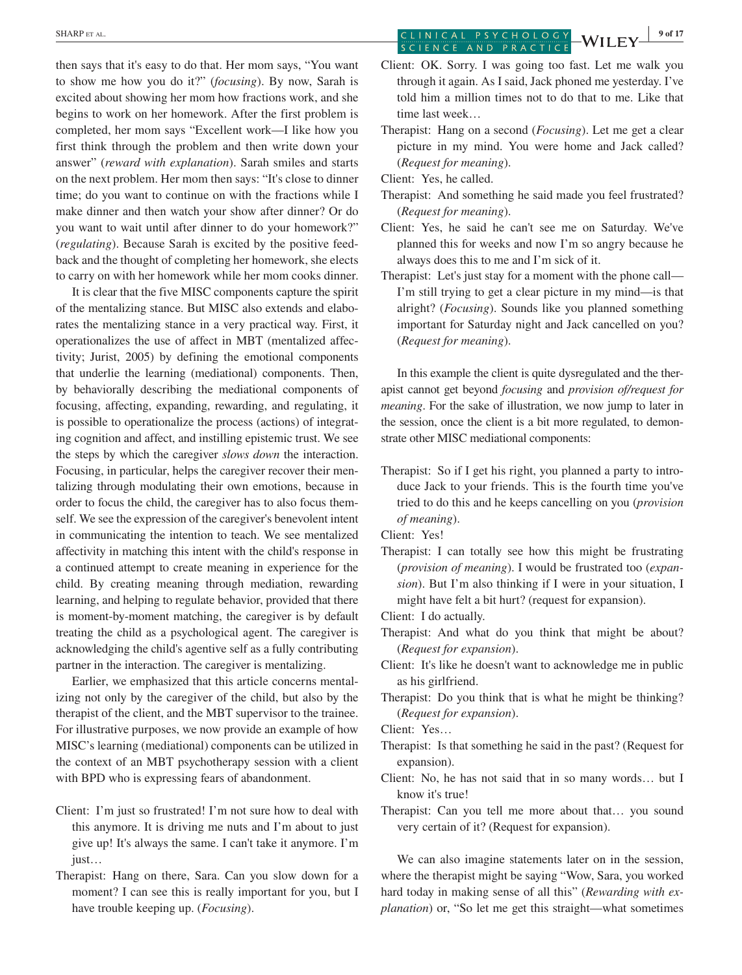then says that it's easy to do that. Her mom says, "You want to show me how you do it?" (*focusing*). By now, Sarah is excited about showing her mom how fractions work, and she begins to work on her homework. After the first problem is completed, her mom says "Excellent work—I like how you first think through the problem and then write down your answer" (*reward with explanation*). Sarah smiles and starts on the next problem. Her mom then says: "It's close to dinner time; do you want to continue on with the fractions while I make dinner and then watch your show after dinner? Or do you want to wait until after dinner to do your homework?" (*regulating*). Because Sarah is excited by the positive feedback and the thought of completing her homework, she elects to carry on with her homework while her mom cooks dinner.

It is clear that the five MISC components capture the spirit of the mentalizing stance. But MISC also extends and elaborates the mentalizing stance in a very practical way. First, it operationalizes the use of affect in MBT (mentalized affectivity; Jurist, 2005) by defining the emotional components that underlie the learning (mediational) components. Then, by behaviorally describing the mediational components of focusing, affecting, expanding, rewarding, and regulating, it is possible to operationalize the process (actions) of integrating cognition and affect, and instilling epistemic trust. We see the steps by which the caregiver *slows down* the interaction. Focusing, in particular, helps the caregiver recover their mentalizing through modulating their own emotions, because in order to focus the child, the caregiver has to also focus themself. We see the expression of the caregiver's benevolent intent in communicating the intention to teach. We see mentalized affectivity in matching this intent with the child's response in a continued attempt to create meaning in experience for the child. By creating meaning through mediation, rewarding learning, and helping to regulate behavior, provided that there is moment-by-moment matching, the caregiver is by default treating the child as a psychological agent. The caregiver is acknowledging the child's agentive self as a fully contributing partner in the interaction. The caregiver is mentalizing.

Earlier, we emphasized that this article concerns mentalizing not only by the caregiver of the child, but also by the therapist of the client, and the MBT supervisor to the trainee. For illustrative purposes, we now provide an example of how MISC's learning (mediational) components can be utilized in the context of an MBT psychotherapy session with a client with BPD who is expressing fears of abandonment.

- Client: I'm just so frustrated! I'm not sure how to deal with this anymore. It is driving me nuts and I'm about to just give up! It's always the same. I can't take it anymore. I'm just…
- Therapist: Hang on there, Sara. Can you slow down for a moment? I can see this is really important for you, but I have trouble keeping up. (*Focusing*).

 **|** SHARP et al. **9 of 17**

- Client: OK. Sorry. I was going too fast. Let me walk you through it again. As I said, Jack phoned me yesterday. I've told him a million times not to do that to me. Like that time last week…
- Therapist: Hang on a second (*Focusing*). Let me get a clear picture in my mind. You were home and Jack called? (*Request for meaning*).

Client: Yes, he called.

- Therapist: And something he said made you feel frustrated? (*Request for meaning*).
- Client: Yes, he said he can't see me on Saturday. We've planned this for weeks and now I'm so angry because he always does this to me and I'm sick of it.
- Therapist: Let's just stay for a moment with the phone call— I'm still trying to get a clear picture in my mind—is that alright? (*Focusing*). Sounds like you planned something important for Saturday night and Jack cancelled on you? (*Request for meaning*).

In this example the client is quite dysregulated and the therapist cannot get beyond *focusing* and *provision of/request for meaning*. For the sake of illustration, we now jump to later in the session, once the client is a bit more regulated, to demonstrate other MISC mediational components:

Therapist: So if I get his right, you planned a party to introduce Jack to your friends. This is the fourth time you've tried to do this and he keeps cancelling on you (*provision of meaning*).

Client: Yes!

Therapist: I can totally see how this might be frustrating (*provision of meaning*). I would be frustrated too (*expansion*). But I'm also thinking if I were in your situation, I might have felt a bit hurt? (request for expansion).

Client: I do actually.

- Therapist: And what do you think that might be about? (*Request for expansion*).
- Client: It's like he doesn't want to acknowledge me in public as his girlfriend.
- Therapist: Do you think that is what he might be thinking? (*Request for expansion*).
- Client: Yes…
- Therapist: Is that something he said in the past? (Request for expansion).
- Client: No, he has not said that in so many words… but I know it's true!
- Therapist: Can you tell me more about that… you sound very certain of it? (Request for expansion).

We can also imagine statements later on in the session, where the therapist might be saying "Wow, Sara, you worked hard today in making sense of all this" (*Rewarding with explanation*) or, "So let me get this straight—what sometimes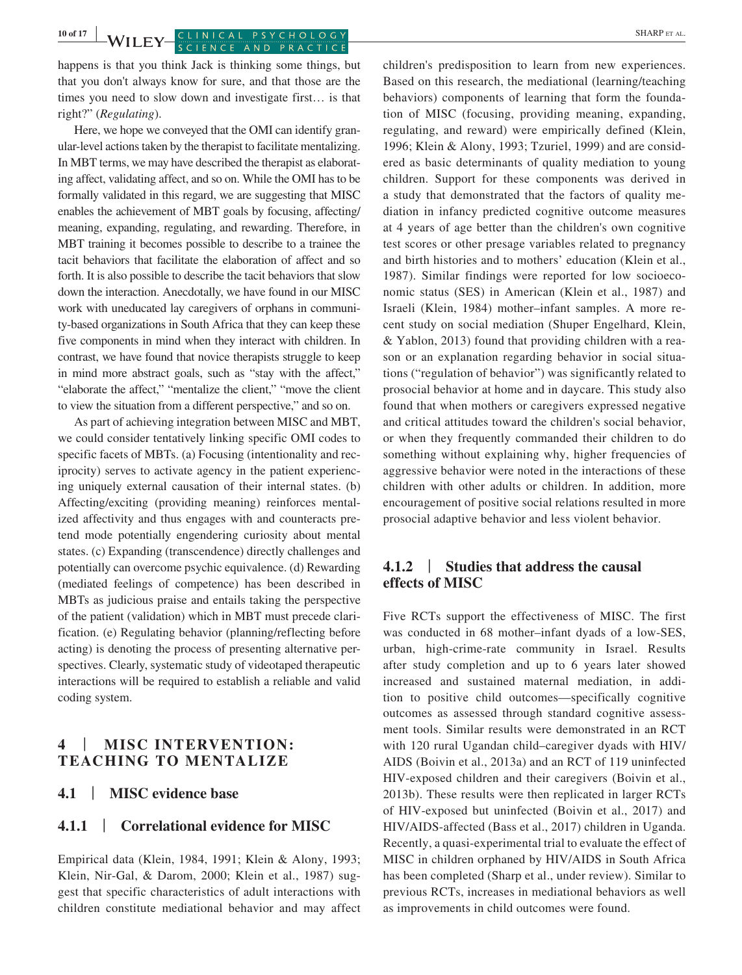happens is that you think Jack is thinking some things, but that you don't always know for sure, and that those are the times you need to slow down and investigate first… is that right?" (*Regulating*).

Here, we hope we conveyed that the OMI can identify granular-level actions taken by the therapist to facilitate mentalizing. In MBT terms, we may have described the therapist as elaborating affect, validating affect, and so on. While the OMI has to be formally validated in this regard, we are suggesting that MISC enables the achievement of MBT goals by focusing, affecting/ meaning, expanding, regulating, and rewarding. Therefore, in MBT training it becomes possible to describe to a trainee the tacit behaviors that facilitate the elaboration of affect and so forth. It is also possible to describe the tacit behaviors that slow down the interaction. Anecdotally, we have found in our MISC work with uneducated lay caregivers of orphans in community-based organizations in South Africa that they can keep these five components in mind when they interact with children. In contrast, we have found that novice therapists struggle to keep in mind more abstract goals, such as "stay with the affect," "elaborate the affect," "mentalize the client," "move the client to view the situation from a different perspective," and so on.

As part of achieving integration between MISC and MBT, we could consider tentatively linking specific OMI codes to specific facets of MBTs. (a) Focusing (intentionality and reciprocity) serves to activate agency in the patient experiencing uniquely external causation of their internal states. (b) Affecting/exciting (providing meaning) reinforces mentalized affectivity and thus engages with and counteracts pretend mode potentially engendering curiosity about mental states. (c) Expanding (transcendence) directly challenges and potentially can overcome psychic equivalence. (d) Rewarding (mediated feelings of competence) has been described in MBTs as judicious praise and entails taking the perspective of the patient (validation) which in MBT must precede clarification. (e) Regulating behavior (planning/reflecting before acting) is denoting the process of presenting alternative perspectives. Clearly, systematic study of videotaped therapeutic interactions will be required to establish a reliable and valid coding system.

### **4** | **MISC INTERVENTION: TEACHING TO MENTALIZE**

### **4.1** | **MISC evidence base**

#### **4.1.1** | **Correlational evidence for MISC**

Empirical data (Klein, 1984, 1991; Klein & Alony, 1993; Klein, Nir-Gal, & Darom, 2000; Klein et al., 1987) suggest that specific characteristics of adult interactions with children constitute mediational behavior and may affect children's predisposition to learn from new experiences. Based on this research, the mediational (learning/teaching behaviors) components of learning that form the foundation of MISC (focusing, providing meaning, expanding, regulating, and reward) were empirically defined (Klein, 1996; Klein & Alony, 1993; Tzuriel, 1999) and are considered as basic determinants of quality mediation to young children. Support for these components was derived in a study that demonstrated that the factors of quality mediation in infancy predicted cognitive outcome measures at 4 years of age better than the children's own cognitive test scores or other presage variables related to pregnancy and birth histories and to mothers' education (Klein et al., 1987). Similar findings were reported for low socioeconomic status (SES) in American (Klein et al., 1987) and Israeli (Klein, 1984) mother–infant samples. A more recent study on social mediation (Shuper Engelhard, Klein, & Yablon, 2013) found that providing children with a reason or an explanation regarding behavior in social situations ("regulation of behavior") was significantly related to prosocial behavior at home and in daycare. This study also found that when mothers or caregivers expressed negative and critical attitudes toward the children's social behavior, or when they frequently commanded their children to do something without explaining why, higher frequencies of aggressive behavior were noted in the interactions of these children with other adults or children. In addition, more encouragement of positive social relations resulted in more prosocial adaptive behavior and less violent behavior.

#### **4.1.2** | **Studies that address the causal effects of MISC**

Five RCTs support the effectiveness of MISC. The first was conducted in 68 mother–infant dyads of a low-SES, urban, high-crime-rate community in Israel. Results after study completion and up to 6 years later showed increased and sustained maternal mediation, in addition to positive child outcomes—specifically cognitive outcomes as assessed through standard cognitive assessment tools. Similar results were demonstrated in an RCT with 120 rural Ugandan child–caregiver dyads with HIV/ AIDS (Boivin et al., 2013a) and an RCT of 119 uninfected HIV-exposed children and their caregivers (Boivin et al., 2013b). These results were then replicated in larger RCTs of HIV-exposed but uninfected (Boivin et al., 2017) and HIV/AIDS-affected (Bass et al., 2017) children in Uganda. Recently, a quasi-experimental trial to evaluate the effect of MISC in children orphaned by HIV/AIDS in South Africa has been completed (Sharp et al., under review). Similar to previous RCTs, increases in mediational behaviors as well as improvements in child outcomes were found.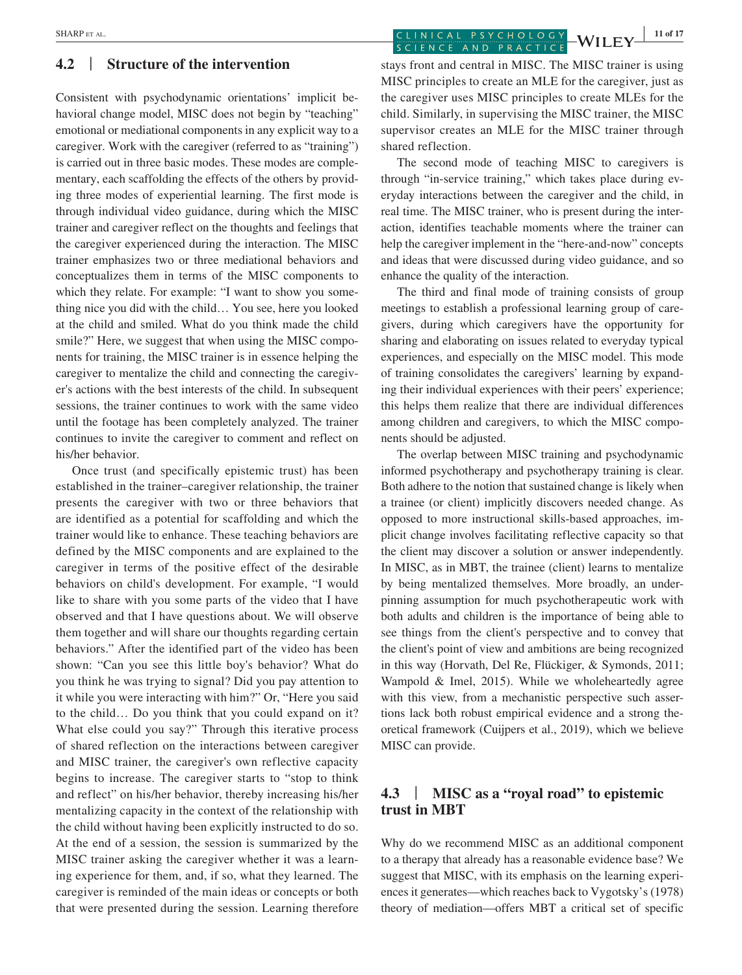#### **4.2** | **Structure of the intervention**

Consistent with psychodynamic orientations' implicit behavioral change model, MISC does not begin by "teaching" emotional or mediational components in any explicit way to a caregiver. Work with the caregiver (referred to as "training") is carried out in three basic modes. These modes are complementary, each scaffolding the effects of the others by providing three modes of experiential learning. The first mode is through individual video guidance, during which the MISC trainer and caregiver reflect on the thoughts and feelings that the caregiver experienced during the interaction. The MISC trainer emphasizes two or three mediational behaviors and conceptualizes them in terms of the MISC components to which they relate. For example: "I want to show you something nice you did with the child… You see, here you looked at the child and smiled. What do you think made the child smile?" Here, we suggest that when using the MISC components for training, the MISC trainer is in essence helping the caregiver to mentalize the child and connecting the caregiver's actions with the best interests of the child. In subsequent sessions, the trainer continues to work with the same video until the footage has been completely analyzed. The trainer continues to invite the caregiver to comment and reflect on his/her behavior.

Once trust (and specifically epistemic trust) has been established in the trainer–caregiver relationship, the trainer presents the caregiver with two or three behaviors that are identified as a potential for scaffolding and which the trainer would like to enhance. These teaching behaviors are defined by the MISC components and are explained to the caregiver in terms of the positive effect of the desirable behaviors on child's development. For example, "I would like to share with you some parts of the video that I have observed and that I have questions about. We will observe them together and will share our thoughts regarding certain behaviors." After the identified part of the video has been shown: "Can you see this little boy's behavior? What do you think he was trying to signal? Did you pay attention to it while you were interacting with him?" Or, "Here you said to the child… Do you think that you could expand on it? What else could you say?" Through this iterative process of shared reflection on the interactions between caregiver and MISC trainer, the caregiver's own reflective capacity begins to increase. The caregiver starts to "stop to think and reflect" on his/her behavior, thereby increasing his/her mentalizing capacity in the context of the relationship with the child without having been explicitly instructed to do so. At the end of a session, the session is summarized by the MISC trainer asking the caregiver whether it was a learning experience for them, and, if so, what they learned. The caregiver is reminded of the main ideas or concepts or both that were presented during the session. Learning therefore

 **|** SHARP et al. **11 of 17**

stays front and central in MISC. The MISC trainer is using MISC principles to create an MLE for the caregiver, just as the caregiver uses MISC principles to create MLEs for the child. Similarly, in supervising the MISC trainer, the MISC supervisor creates an MLE for the MISC trainer through shared reflection.

The second mode of teaching MISC to caregivers is through "in-service training," which takes place during everyday interactions between the caregiver and the child, in real time. The MISC trainer, who is present during the interaction, identifies teachable moments where the trainer can help the caregiver implement in the "here-and-now" concepts and ideas that were discussed during video guidance, and so enhance the quality of the interaction.

The third and final mode of training consists of group meetings to establish a professional learning group of caregivers, during which caregivers have the opportunity for sharing and elaborating on issues related to everyday typical experiences, and especially on the MISC model. This mode of training consolidates the caregivers' learning by expanding their individual experiences with their peers' experience; this helps them realize that there are individual differences among children and caregivers, to which the MISC components should be adjusted.

The overlap between MISC training and psychodynamic informed psychotherapy and psychotherapy training is clear. Both adhere to the notion that sustained change is likely when a trainee (or client) implicitly discovers needed change. As opposed to more instructional skills-based approaches, implicit change involves facilitating reflective capacity so that the client may discover a solution or answer independently. In MISC, as in MBT, the trainee (client) learns to mentalize by being mentalized themselves. More broadly, an underpinning assumption for much psychotherapeutic work with both adults and children is the importance of being able to see things from the client's perspective and to convey that the client's point of view and ambitions are being recognized in this way (Horvath, Del Re, Flückiger, & Symonds, 2011; Wampold & Imel, 2015). While we wholeheartedly agree with this view, from a mechanistic perspective such assertions lack both robust empirical evidence and a strong theoretical framework (Cuijpers et al., 2019), which we believe MISC can provide.

#### **4.3** | **MISC as a "royal road" to epistemic trust in MBT**

Why do we recommend MISC as an additional component to a therapy that already has a reasonable evidence base? We suggest that MISC, with its emphasis on the learning experiences it generates—which reaches back to Vygotsky's (1978) theory of mediation—offers MBT a critical set of specific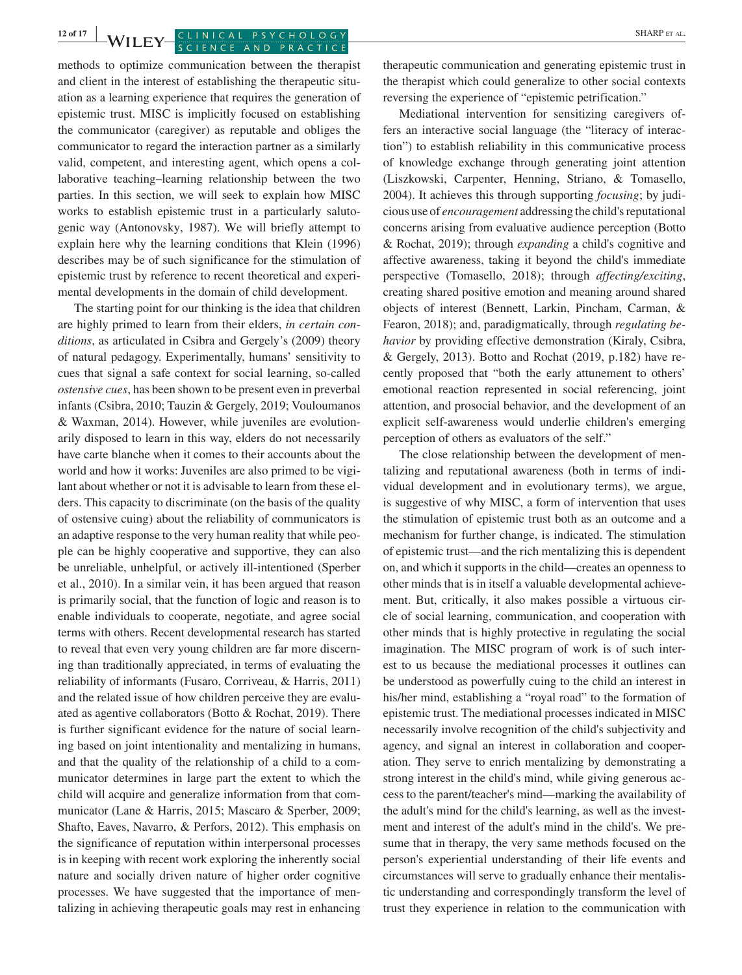methods to optimize communication between the therapist and client in the interest of establishing the therapeutic situation as a learning experience that requires the generation of epistemic trust. MISC is implicitly focused on establishing the communicator (caregiver) as reputable and obliges the communicator to regard the interaction partner as a similarly valid, competent, and interesting agent, which opens a collaborative teaching–learning relationship between the two parties. In this section, we will seek to explain how MISC works to establish epistemic trust in a particularly salutogenic way (Antonovsky, 1987). We will briefly attempt to explain here why the learning conditions that Klein (1996) describes may be of such significance for the stimulation of epistemic trust by reference to recent theoretical and experimental developments in the domain of child development.

The starting point for our thinking is the idea that children are highly primed to learn from their elders, *in certain conditions*, as articulated in Csibra and Gergely's (2009) theory of natural pedagogy. Experimentally, humans' sensitivity to cues that signal a safe context for social learning, so-called *ostensive cues*, has been shown to be present even in preverbal infants (Csibra, 2010; Tauzin & Gergely, 2019; Vouloumanos & Waxman, 2014). However, while juveniles are evolutionarily disposed to learn in this way, elders do not necessarily have carte blanche when it comes to their accounts about the world and how it works: Juveniles are also primed to be vigilant about whether or not it is advisable to learn from these elders. This capacity to discriminate (on the basis of the quality of ostensive cuing) about the reliability of communicators is an adaptive response to the very human reality that while people can be highly cooperative and supportive, they can also be unreliable, unhelpful, or actively ill-intentioned (Sperber et al., 2010). In a similar vein, it has been argued that reason is primarily social, that the function of logic and reason is to enable individuals to cooperate, negotiate, and agree social terms with others. Recent developmental research has started to reveal that even very young children are far more discerning than traditionally appreciated, in terms of evaluating the reliability of informants (Fusaro, Corriveau, & Harris, 2011) and the related issue of how children perceive they are evaluated as agentive collaborators (Botto & Rochat, 2019). There is further significant evidence for the nature of social learning based on joint intentionality and mentalizing in humans, and that the quality of the relationship of a child to a communicator determines in large part the extent to which the child will acquire and generalize information from that communicator (Lane & Harris, 2015; Mascaro & Sperber, 2009; Shafto, Eaves, Navarro, & Perfors, 2012). This emphasis on the significance of reputation within interpersonal processes is in keeping with recent work exploring the inherently social nature and socially driven nature of higher order cognitive processes. We have suggested that the importance of mentalizing in achieving therapeutic goals may rest in enhancing therapeutic communication and generating epistemic trust in the therapist which could generalize to other social contexts reversing the experience of "epistemic petrification."

Mediational intervention for sensitizing caregivers offers an interactive social language (the "literacy of interaction") to establish reliability in this communicative process of knowledge exchange through generating joint attention (Liszkowski, Carpenter, Henning, Striano, & Tomasello, 2004). It achieves this through supporting *focusing*; by judicious use of *encouragement* addressing the child's reputational concerns arising from evaluative audience perception (Botto & Rochat, 2019); through *expanding* a child's cognitive and affective awareness, taking it beyond the child's immediate perspective (Tomasello, 2018); through *affecting/exciting*, creating shared positive emotion and meaning around shared objects of interest (Bennett, Larkin, Pincham, Carman, & Fearon, 2018); and, paradigmatically, through *regulating behavior* by providing effective demonstration (Kiraly, Csibra, & Gergely, 2013). Botto and Rochat (2019, p.182) have recently proposed that "both the early attunement to others' emotional reaction represented in social referencing, joint attention, and prosocial behavior, and the development of an explicit self-awareness would underlie children's emerging perception of others as evaluators of the self."

The close relationship between the development of mentalizing and reputational awareness (both in terms of individual development and in evolutionary terms), we argue, is suggestive of why MISC, a form of intervention that uses the stimulation of epistemic trust both as an outcome and a mechanism for further change, is indicated. The stimulation of epistemic trust—and the rich mentalizing this is dependent on, and which it supports in the child—creates an openness to other minds that is in itself a valuable developmental achievement. But, critically, it also makes possible a virtuous circle of social learning, communication, and cooperation with other minds that is highly protective in regulating the social imagination. The MISC program of work is of such interest to us because the mediational processes it outlines can be understood as powerfully cuing to the child an interest in his/her mind, establishing a "royal road" to the formation of epistemic trust. The mediational processes indicated in MISC necessarily involve recognition of the child's subjectivity and agency, and signal an interest in collaboration and cooperation. They serve to enrich mentalizing by demonstrating a strong interest in the child's mind, while giving generous access to the parent/teacher's mind—marking the availability of the adult's mind for the child's learning, as well as the investment and interest of the adult's mind in the child's. We presume that in therapy, the very same methods focused on the person's experiential understanding of their life events and circumstances will serve to gradually enhance their mentalistic understanding and correspondingly transform the level of trust they experience in relation to the communication with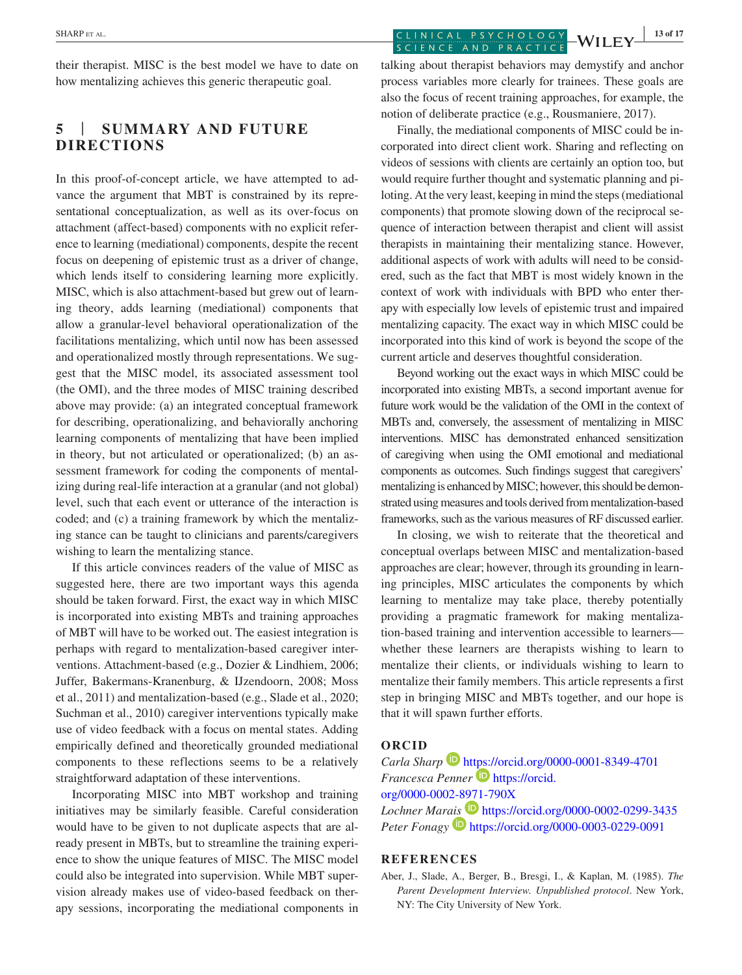their therapist. MISC is the best model we have to date on how mentalizing achieves this generic therapeutic goal.

## **5** | **SUMMARY AND FUTURE DIRECTIONS**

In this proof-of-concept article, we have attempted to advance the argument that MBT is constrained by its representational conceptualization, as well as its over-focus on attachment (affect-based) components with no explicit reference to learning (mediational) components, despite the recent focus on deepening of epistemic trust as a driver of change, which lends itself to considering learning more explicitly. MISC, which is also attachment-based but grew out of learning theory, adds learning (mediational) components that allow a granular-level behavioral operationalization of the facilitations mentalizing, which until now has been assessed and operationalized mostly through representations. We suggest that the MISC model, its associated assessment tool (the OMI), and the three modes of MISC training described above may provide: (a) an integrated conceptual framework for describing, operationalizing, and behaviorally anchoring learning components of mentalizing that have been implied in theory, but not articulated or operationalized; (b) an assessment framework for coding the components of mentalizing during real-life interaction at a granular (and not global) level, such that each event or utterance of the interaction is coded; and (c) a training framework by which the mentalizing stance can be taught to clinicians and parents/caregivers wishing to learn the mentalizing stance.

If this article convinces readers of the value of MISC as suggested here, there are two important ways this agenda should be taken forward. First, the exact way in which MISC is incorporated into existing MBTs and training approaches of MBT will have to be worked out. The easiest integration is perhaps with regard to mentalization-based caregiver interventions. Attachment-based (e.g., Dozier & Lindhiem, 2006; Juffer, Bakermans-Kranenburg, & IJzendoorn, 2008; Moss et al., 2011) and mentalization-based (e.g., Slade et al., 2020; Suchman et al., 2010) caregiver interventions typically make use of video feedback with a focus on mental states. Adding empirically defined and theoretically grounded mediational components to these reflections seems to be a relatively straightforward adaptation of these interventions.

Incorporating MISC into MBT workshop and training initiatives may be similarly feasible. Careful consideration would have to be given to not duplicate aspects that are already present in MBTs, but to streamline the training experience to show the unique features of MISC. The MISC model could also be integrated into supervision. While MBT supervision already makes use of video-based feedback on therapy sessions, incorporating the mediational components in talking about therapist behaviors may demystify and anchor process variables more clearly for trainees. These goals are also the focus of recent training approaches, for example, the notion of deliberate practice (e.g., Rousmaniere, 2017).

Finally, the mediational components of MISC could be incorporated into direct client work. Sharing and reflecting on videos of sessions with clients are certainly an option too, but would require further thought and systematic planning and piloting. At the very least, keeping in mind the steps (mediational components) that promote slowing down of the reciprocal sequence of interaction between therapist and client will assist therapists in maintaining their mentalizing stance. However, additional aspects of work with adults will need to be considered, such as the fact that MBT is most widely known in the context of work with individuals with BPD who enter therapy with especially low levels of epistemic trust and impaired mentalizing capacity. The exact way in which MISC could be incorporated into this kind of work is beyond the scope of the current article and deserves thoughtful consideration.

Beyond working out the exact ways in which MISC could be incorporated into existing MBTs, a second important avenue for future work would be the validation of the OMI in the context of MBTs and, conversely, the assessment of mentalizing in MISC interventions. MISC has demonstrated enhanced sensitization of caregiving when using the OMI emotional and mediational components as outcomes. Such findings suggest that caregivers' mentalizing is enhanced by MISC; however, this should be demonstrated using measures and tools derived from mentalization-based frameworks, such as the various measures of RF discussed earlier.

In closing, we wish to reiterate that the theoretical and conceptual overlaps between MISC and mentalization-based approaches are clear; however, through its grounding in learning principles, MISC articulates the components by which learning to mentalize may take place, thereby potentially providing a pragmatic framework for making mentalization-based training and intervention accessible to learners whether these learners are therapists wishing to learn to mentalize their clients, or individuals wishing to learn to mentalize their family members. This article represents a first step in bringing MISC and MBTs together, and our hope is that it will spawn further efforts.

#### **ORCID**

*Carla Sharp* <https://orcid.org/0000-0001-8349-4701> *Francesca Penner* **[https://orcid.](https://orcid.org/0000-0002-8971-790X)** [org/0000-0002-8971-790X](https://orcid.org/0000-0002-8971-790X) *Lochner Mar[ais](https://orcid.org/0000-0003-0229-0091)* **D** <https://orcid.org/0000-0002-0299-3435> *Peter Fonagy* <https://orcid.org/0000-0003-0229-0091>

#### **REFERENCES**

Aber, J., Slade, A., Berger, B., Bresgi, I., & Kaplan, M. (1985). *The Parent Development Interview. Unpublished protocol*. New York, NY: The City University of New York.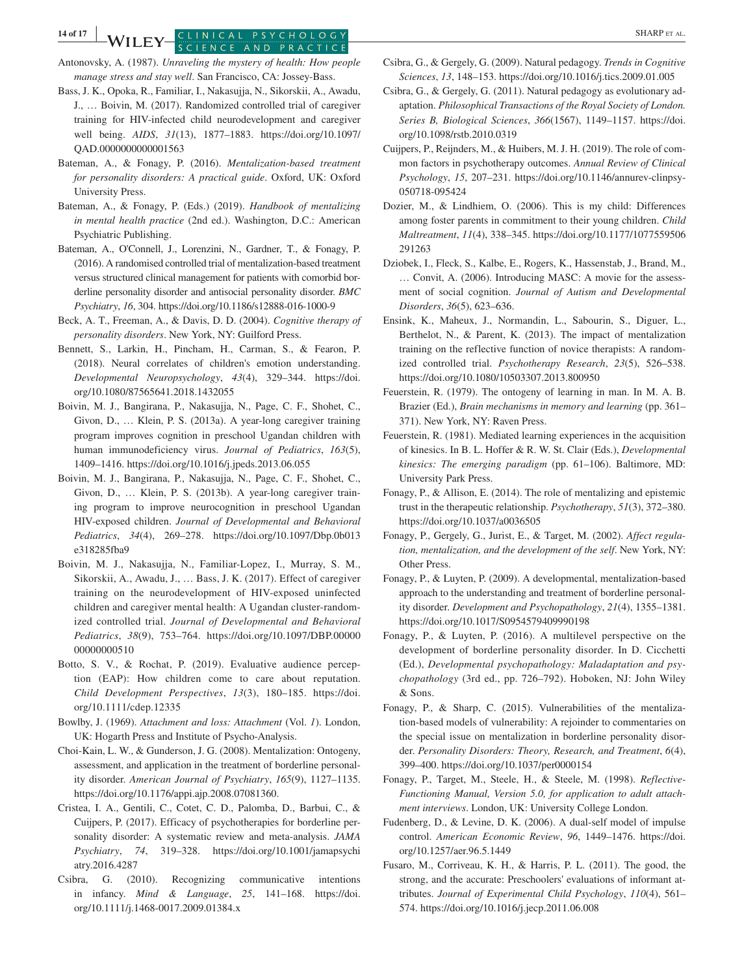- Antonovsky, A. (1987). *Unraveling the mystery of health: How people manage stress and stay well*. San Francisco, CA: Jossey-Bass.
- Bass, J. K., Opoka, R., Familiar, I., Nakasujja, N., Sikorskii, A., Awadu, J., … Boivin, M. (2017). Randomized controlled trial of caregiver training for HIV-infected child neurodevelopment and caregiver well being. *AIDS*, *31*(13), 1877–1883. [https://doi.org/10.1097/](https://doi.org/10.1097/QAD.0000000000001563) [QAD.0000000000001563](https://doi.org/10.1097/QAD.0000000000001563)
- Bateman, A., & Fonagy, P. (2016). *Mentalization-based treatment for personality disorders: A practical guide*. Oxford, UK: Oxford University Press.
- Bateman, A., & Fonagy, P. (Eds.) (2019). *Handbook of mentalizing in mental health practice* (2nd ed.). Washington, D.C.: American Psychiatric Publishing.
- Bateman, A., O'Connell, J., Lorenzini, N., Gardner, T., & Fonagy, P. (2016). A randomised controlled trial of mentalization-based treatment versus structured clinical management for patients with comorbid borderline personality disorder and antisocial personality disorder. *BMC Psychiatry*, *16*, 304.<https://doi.org/10.1186/s12888-016-1000-9>
- Beck, A. T., Freeman, A., & Davis, D. D. (2004). *Cognitive therapy of personality disorders*. New York, NY: Guilford Press.
- Bennett, S., Larkin, H., Pincham, H., Carman, S., & Fearon, P. (2018). Neural correlates of children's emotion understanding. *Developmental Neuropsychology*, *43*(4), 329–344. [https://doi.](https://doi.org/10.1080/87565641.2018.1432055) [org/10.1080/87565641.2018.1432055](https://doi.org/10.1080/87565641.2018.1432055)
- Boivin, M. J., Bangirana, P., Nakasujja, N., Page, C. F., Shohet, C., Givon, D., … Klein, P. S. (2013a). A year-long caregiver training program improves cognition in preschool Ugandan children with human immunodeficiency virus. *Journal of Pediatrics*, *163*(5), 1409–1416. <https://doi.org/10.1016/j.jpeds.2013.06.055>
- Boivin, M. J., Bangirana, P., Nakasujja, N., Page, C. F., Shohet, C., Givon, D., … Klein, P. S. (2013b). A year-long caregiver training program to improve neurocognition in preschool Ugandan HIV-exposed children. *Journal of Developmental and Behavioral Pediatrics*, *34*(4), 269–278. [https://doi.org/10.1097/Dbp.0b013](https://doi.org/10.1097/Dbp.0b013e318285fba9) [e318285fba9](https://doi.org/10.1097/Dbp.0b013e318285fba9)
- Boivin, M. J., Nakasujja, N., Familiar-Lopez, I., Murray, S. M., Sikorskii, A., Awadu, J., … Bass, J. K. (2017). Effect of caregiver training on the neurodevelopment of HIV-exposed uninfected children and caregiver mental health: A Ugandan cluster-randomized controlled trial. *Journal of Developmental and Behavioral Pediatrics*, *38*(9), 753–764. [https://doi.org/10.1097/DBP.00000](https://doi.org/10.1097/DBP.0000000000000510) [00000000510](https://doi.org/10.1097/DBP.0000000000000510)
- Botto, S. V., & Rochat, P. (2019). Evaluative audience perception (EAP): How children come to care about reputation. *Child Development Perspectives*, *13*(3), 180–185. [https://doi.](https://doi.org/10.1111/cdep.12335) [org/10.1111/cdep.12335](https://doi.org/10.1111/cdep.12335)
- Bowlby, J. (1969). *Attachment and loss: Attachment* (Vol. *1*). London, UK: Hogarth Press and Institute of Psycho-Analysis.
- Choi-Kain, L. W., & Gunderson, J. G. (2008). Mentalization: Ontogeny, assessment, and application in the treatment of borderline personality disorder. *American Journal of Psychiatry*, *165*(9), 1127–1135. [https://doi.org/10.1176/appi.ajp.2008.07081360.](https://doi.org/10.1176/appi.ajp.2008.07081360)
- Cristea, I. A., Gentili, C., Cotet, C. D., Palomba, D., Barbui, C., & Cuijpers, P. (2017). Efficacy of psychotherapies for borderline personality disorder: A systematic review and meta-analysis. *JAMA Psychiatry*, *74*, 319–328. [https://doi.org/10.1001/jamapsychi](https://doi.org/10.1001/jamapsychiatry.2016.4287) [atry.2016.4287](https://doi.org/10.1001/jamapsychiatry.2016.4287)
- Csibra, G. (2010). Recognizing communicative intentions in infancy. *Mind & Language*, *25*, 141–168. [https://doi.](https://doi.org/10.1111/j.1468-0017.2009.01384.x) [org/10.1111/j.1468-0017.2009.01384.x](https://doi.org/10.1111/j.1468-0017.2009.01384.x)
- Csibra, G., & Gergely, G. (2009). Natural pedagogy. *Trends in Cognitive Sciences*, *13*, 148–153. <https://doi.org/10.1016/j.tics.2009.01.005>
- Csibra, G., & Gergely, G. (2011). Natural pedagogy as evolutionary adaptation. *Philosophical Transactions of the Royal Society of London. Series B, Biological Sciences*, *366*(1567), 1149–1157. [https://doi.](https://doi.org/10.1098/rstb.2010.0319) [org/10.1098/rstb.2010.0319](https://doi.org/10.1098/rstb.2010.0319)
- Cuijpers, P., Reijnders, M., & Huibers, M. J. H. (2019). The role of common factors in psychotherapy outcomes. *Annual Review of Clinical Psychology*, *15*, 207–231. [https://doi.org/10.1146/annurev-clinpsy-](https://doi.org/10.1146/annurev-clinpsy-050718-095424)[050718-095424](https://doi.org/10.1146/annurev-clinpsy-050718-095424)
- Dozier, M., & Lindhiem, O. (2006). This is my child: Differences among foster parents in commitment to their young children. *Child Maltreatment*, *11*(4), 338–345. [https://doi.org/10.1177/1077559506](https://doi.org/10.1177/1077559506291263) [291263](https://doi.org/10.1177/1077559506291263)
- Dziobek, I., Fleck, S., Kalbe, E., Rogers, K., Hassenstab, J., Brand, M., … Convit, A. (2006). Introducing MASC: A movie for the assessment of social cognition. *Journal of Autism and Developmental Disorders*, *36*(5), 623–636.
- Ensink, K., Maheux, J., Normandin, L., Sabourin, S., Diguer, L., Berthelot, N., & Parent, K. (2013). The impact of mentalization training on the reflective function of novice therapists: A randomized controlled trial. *Psychotherapy Research*, *23*(5), 526–538. <https://doi.org/10.1080/10503307.2013.800950>
- Feuerstein, R. (1979). The ontogeny of learning in man. In M. A. B. Brazier (Ed.), *Brain mechanisms in memory and learning* (pp. 361– 371). New York, NY: Raven Press.
- Feuerstein, R. (1981). Mediated learning experiences in the acquisition of kinesics. In B. L. Hoffer & R. W. St. Clair (Eds.), *Developmental kinesics: The emerging paradigm* (pp. 61–106). Baltimore, MD: University Park Press.
- Fonagy, P., & Allison, E. (2014). The role of mentalizing and epistemic trust in the therapeutic relationship. *Psychotherapy*, *51*(3), 372–380. <https://doi.org/10.1037/a0036505>
- Fonagy, P., Gergely, G., Jurist, E., & Target, M. (2002). *Affect regulation, mentalization, and the development of the self*. New York, NY: Other Press.
- Fonagy, P., & Luyten, P. (2009). A developmental, mentalization-based approach to the understanding and treatment of borderline personality disorder. *Development and Psychopathology*, *21*(4), 1355–1381. <https://doi.org/10.1017/S0954579409990198>
- Fonagy, P., & Luyten, P. (2016). A multilevel perspective on the development of borderline personality disorder. In D. Cicchetti (Ed.), *Developmental psychopathology: Maladaptation and psychopathology* (3rd ed., pp. 726–792). Hoboken, NJ: John Wiley & Sons.
- Fonagy, P., & Sharp, C. (2015). Vulnerabilities of the mentalization-based models of vulnerability: A rejoinder to commentaries on the special issue on mentalization in borderline personality disorder. *Personality Disorders: Theory, Research, and Treatment*, *6*(4), 399–400. <https://doi.org/10.1037/per0000154>
- Fonagy, P., Target, M., Steele, H., & Steele, M. (1998). *Reflective-Functioning Manual, Version 5.0, for application to adult attachment interviews*. London, UK: University College London.
- Fudenberg, D., & Levine, D. K. (2006). A dual-self model of impulse control. *American Economic Review*, *96*, 1449–1476. [https://doi.](https://doi.org/10.1257/aer.96.5.1449) [org/10.1257/aer.96.5.1449](https://doi.org/10.1257/aer.96.5.1449)
- Fusaro, M., Corriveau, K. H., & Harris, P. L. (2011). The good, the strong, and the accurate: Preschoolers' evaluations of informant attributes. *Journal of Experimental Child Psychology*, *110*(4), 561– 574. <https://doi.org/10.1016/j.jecp.2011.06.008>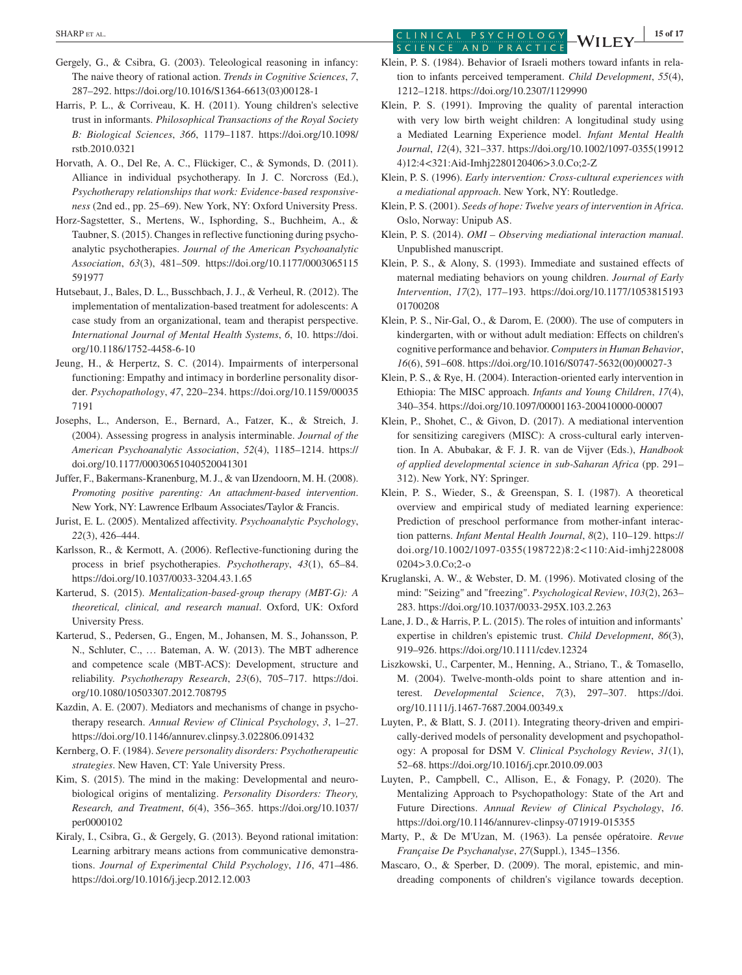- Gergely, G., & Csibra, G. (2003). Teleological reasoning in infancy: The naive theory of rational action. *Trends in Cognitive Sciences*, *7*, 287–292. [https://doi.org/10.1016/S1364-6613\(03\)00128-1](https://doi.org/10.1016/S1364-6613(03)00128-1)
- Harris, P. L., & Corriveau, K. H. (2011). Young children's selective trust in informants. *Philosophical Transactions of the Royal Society B: Biological Sciences*, *366*, 1179–1187. [https://doi.org/10.1098/](https://doi.org/10.1098/rstb.2010.0321) [rstb.2010.0321](https://doi.org/10.1098/rstb.2010.0321)
- Horvath, A. O., Del Re, A. C., Flückiger, C., & Symonds, D. (2011). Alliance in individual psychotherapy. In J. C. Norcross (Ed.), *Psychotherapy relationships that work: Evidence-based responsiveness* (2nd ed., pp. 25–69). New York, NY: Oxford University Press.
- Horz-Sagstetter, S., Mertens, W., Isphording, S., Buchheim, A., & Taubner, S. (2015). Changes in reflective functioning during psychoanalytic psychotherapies. *Journal of the American Psychoanalytic Association*, *63*(3), 481–509. [https://doi.org/10.1177/0003065115](https://doi.org/10.1177/0003065115591977) [591977](https://doi.org/10.1177/0003065115591977)
- Hutsebaut, J., Bales, D. L., Busschbach, J. J., & Verheul, R. (2012). The implementation of mentalization-based treatment for adolescents: A case study from an organizational, team and therapist perspective. *International Journal of Mental Health Systems*, *6*, 10. [https://doi.](https://doi.org/10.1186/1752-4458-6-10) [org/10.1186/1752-4458-6-10](https://doi.org/10.1186/1752-4458-6-10)
- Jeung, H., & Herpertz, S. C. (2014). Impairments of interpersonal functioning: Empathy and intimacy in borderline personality disorder. *Psychopathology*, *47*, 220–234. [https://doi.org/10.1159/00035](https://doi.org/10.1159/000357191) [7191](https://doi.org/10.1159/000357191)
- Josephs, L., Anderson, E., Bernard, A., Fatzer, K., & Streich, J. (2004). Assessing progress in analysis interminable. *Journal of the American Psychoanalytic Association*, *52*(4), 1185–1214. [https://](https://doi.org/10.1177/00030651040520041301) [doi.org/10.1177/00030651040520041301](https://doi.org/10.1177/00030651040520041301)
- Juffer, F., Bakermans-Kranenburg, M. J., & van IJzendoorn, M. H. (2008). *Promoting positive parenting: An attachment-based intervention*. New York, NY: Lawrence Erlbaum Associates/Taylor & Francis.
- Jurist, E. L. (2005). Mentalized affectivity. *Psychoanalytic Psychology*, *22*(3), 426–444.
- Karlsson, R., & Kermott, A. (2006). Reflective-functioning during the process in brief psychotherapies. *Psychotherapy*, *43*(1), 65–84. <https://doi.org/10.1037/0033-3204.43.1.65>
- Karterud, S. (2015). *Mentalization-based-group therapy (MBT-G): A theoretical, clinical, and research manual*. Oxford, UK: Oxford University Press.
- Karterud, S., Pedersen, G., Engen, M., Johansen, M. S., Johansson, P. N., Schluter, C., … Bateman, A. W. (2013). The MBT adherence and competence scale (MBT-ACS): Development, structure and reliability. *Psychotherapy Research*, *23*(6), 705–717. [https://doi.](https://doi.org/10.1080/10503307.2012.708795) [org/10.1080/10503307.2012.708795](https://doi.org/10.1080/10503307.2012.708795)
- Kazdin, A. E. (2007). Mediators and mechanisms of change in psychotherapy research. *Annual Review of Clinical Psychology*, *3*, 1–27. <https://doi.org/10.1146/annurev.clinpsy.3.022806.091432>
- Kernberg, O. F. (1984). *Severe personality disorders: Psychotherapeutic strategies*. New Haven, CT: Yale University Press.
- Kim, S. (2015). The mind in the making: Developmental and neurobiological origins of mentalizing. *Personality Disorders: Theory, Research, and Treatment*, *6*(4), 356–365. [https://doi.org/10.1037/](https://doi.org/10.1037/per0000102) [per0000102](https://doi.org/10.1037/per0000102)
- Kiraly, I., Csibra, G., & Gergely, G. (2013). Beyond rational imitation: Learning arbitrary means actions from communicative demonstrations. *Journal of Experimental Child Psychology*, *116*, 471–486. <https://doi.org/10.1016/j.jecp.2012.12.003>

 **|** SHARP et al. **15 of 17**

- Klein, P. S. (1984). Behavior of Israeli mothers toward infants in relation to infants perceived temperament. *Child Development*, *55*(4), 1212–1218.<https://doi.org/10.2307/1129990>
- Klein, P. S. (1991). Improving the quality of parental interaction with very low birth weight children: A longitudinal study using a Mediated Learning Experience model. *Infant Mental Health Journal*, *12*(4), 321–337. [https://doi.org/10.1002/1097-0355\(19912](https://doi.org/10.1002/1097-0355(199124)12:4%3C321:Aid-Imhj2280120406%3E3.0.Co;2-Z) [4\)12:4<321:Aid-Imhj2280120406>3.0.Co;2-Z](https://doi.org/10.1002/1097-0355(199124)12:4%3C321:Aid-Imhj2280120406%3E3.0.Co;2-Z)
- Klein, P. S. (1996). *Early intervention: Cross-cultural experiences with a mediational approach*. New York, NY: Routledge.
- Klein, P. S. (2001). *Seeds of hope: Twelve years of intervention in Africa*. Oslo, Norway: Unipub AS.
- Klein, P. S. (2014). *OMI Observing mediational interaction manual*. Unpublished manuscript.
- Klein, P. S., & Alony, S. (1993). Immediate and sustained effects of maternal mediating behaviors on young children. *Journal of Early Intervention*, *17*(2), 177–193. [https://doi.org/10.1177/1053815193](https://doi.org/10.1177/105381519301700208) [01700208](https://doi.org/10.1177/105381519301700208)
- Klein, P. S., Nir-Gal, O., & Darom, E. (2000). The use of computers in kindergarten, with or without adult mediation: Effects on children's cognitive performance and behavior. *Computers in Human Behavior*, *16*(6), 591–608. [https://doi.org/10.1016/S0747-5632\(00\)00027-3](https://doi.org/10.1016/S0747-5632(00)00027-3)
- Klein, P. S., & Rye, H. (2004). Interaction-oriented early intervention in Ethiopia: The MISC approach. *Infants and Young Children*, *17*(4), 340–354. <https://doi.org/10.1097/00001163-200410000-00007>
- Klein, P., Shohet, C., & Givon, D. (2017). A mediational intervention for sensitizing caregivers (MISC): A cross-cultural early intervention. In A. Abubakar, & F. J. R. van de Vijver (Eds.), *Handbook of applied developmental science in sub-Saharan Africa* (pp. 291– 312). New York, NY: Springer.
- Klein, P. S., Wieder, S., & Greenspan, S. I. (1987). A theoretical overview and empirical study of mediated learning experience: Prediction of preschool performance from mother-infant interaction patterns. *Infant Mental Health Journal*, *8*(2), 110–129. [https://](https://doi.org/10.1002/1097-0355(198722)8:2%3C110:Aid-imhj2280080204%3E3.0.Co;2-o) [doi.org/10.1002/1097-0355\(198722\)8:2<110:Aid-imhj228008](https://doi.org/10.1002/1097-0355(198722)8:2%3C110:Aid-imhj2280080204%3E3.0.Co;2-o) [0204>3.0.Co;2-o](https://doi.org/10.1002/1097-0355(198722)8:2%3C110:Aid-imhj2280080204%3E3.0.Co;2-o)
- Kruglanski, A. W., & Webster, D. M. (1996). Motivated closing of the mind: "Seizing" and "freezing". *Psychological Review*, *103*(2), 263– 283. <https://doi.org/10.1037/0033-295X.103.2.263>
- Lane, J. D., & Harris, P. L. (2015). The roles of intuition and informants' expertise in children's epistemic trust. *Child Development*, *86*(3), 919–926. <https://doi.org/10.1111/cdev.12324>
- Liszkowski, U., Carpenter, M., Henning, A., Striano, T., & Tomasello, M. (2004). Twelve-month-olds point to share attention and interest. *Developmental Science*, *7*(3), 297–307. [https://doi.](https://doi.org/10.1111/j.1467-7687.2004.00349.x) [org/10.1111/j.1467-7687.2004.00349.x](https://doi.org/10.1111/j.1467-7687.2004.00349.x)
- Luyten, P., & Blatt, S. J. (2011). Integrating theory-driven and empirically-derived models of personality development and psychopathology: A proposal for DSM V. *Clinical Psychology Review*, *31*(1), 52–68.<https://doi.org/10.1016/j.cpr.2010.09.003>
- Luyten, P., Campbell, C., Allison, E., & Fonagy, P. (2020). The Mentalizing Approach to Psychopathology: State of the Art and Future Directions. *Annual Review of Clinical Psychology*, *16*. <https://doi.org/10.1146/annurev-clinpsy-071919-015355>
- Marty, P., & De M'Uzan, M. (1963). La pensée opératoire. *Revue Française De Psychanalyse*, *27*(Suppl.), 1345–1356.
- Mascaro, O., & Sperber, D. (2009). The moral, epistemic, and mindreading components of children's vigilance towards deception.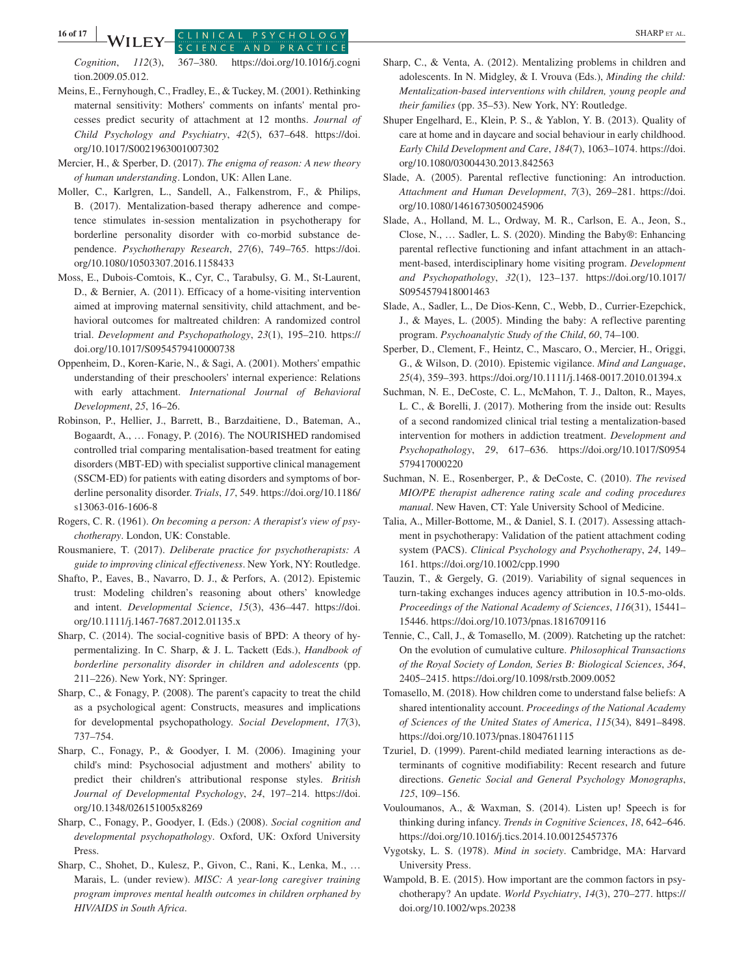*Cognition*, *112*(3), 367–380. [https://doi.org/10.1016/j.cogni](https://doi.org/10.1016/j.cognition.2009.05.012) [tion.2009.05.012](https://doi.org/10.1016/j.cognition.2009.05.012).

- Meins, E., Fernyhough, C., Fradley, E., & Tuckey, M. (2001). Rethinking maternal sensitivity: Mothers' comments on infants' mental processes predict security of attachment at 12 months. *Journal of Child Psychology and Psychiatry*, *42*(5), 637–648. [https://doi.](https://doi.org/10.1017/S0021963001007302) [org/10.1017/S0021963001007302](https://doi.org/10.1017/S0021963001007302)
- Mercier, H., & Sperber, D. (2017). *The enigma of reason: A new theory of human understanding*. London, UK: Allen Lane.
- Moller, C., Karlgren, L., Sandell, A., Falkenstrom, F., & Philips, B. (2017). Mentalization-based therapy adherence and competence stimulates in-session mentalization in psychotherapy for borderline personality disorder with co-morbid substance dependence. *Psychotherapy Research*, *27*(6), 749–765. [https://doi.](https://doi.org/10.1080/10503307.2016.1158433) [org/10.1080/10503307.2016.1158433](https://doi.org/10.1080/10503307.2016.1158433)
- Moss, E., Dubois-Comtois, K., Cyr, C., Tarabulsy, G. M., St-Laurent, D., & Bernier, A. (2011). Efficacy of a home-visiting intervention aimed at improving maternal sensitivity, child attachment, and behavioral outcomes for maltreated children: A randomized control trial. *Development and Psychopathology*, *23*(1), 195–210. [https://](https://doi.org/10.1017/S0954579410000738) [doi.org/10.1017/S0954579410000738](https://doi.org/10.1017/S0954579410000738)
- Oppenheim, D., Koren-Karie, N., & Sagi, A. (2001). Mothers' empathic understanding of their preschoolers' internal experience: Relations with early attachment. *International Journal of Behavioral Development*, *25*, 16–26.
- Robinson, P., Hellier, J., Barrett, B., Barzdaitiene, D., Bateman, A., Bogaardt, A., … Fonagy, P. (2016). The NOURISHED randomised controlled trial comparing mentalisation-based treatment for eating disorders (MBT-ED) with specialist supportive clinical management (SSCM-ED) for patients with eating disorders and symptoms of borderline personality disorder. *Trials*, *17*, 549. [https://doi.org/10.1186/](https://doi.org/10.1186/s13063-016-1606-8) [s13063-016-1606-8](https://doi.org/10.1186/s13063-016-1606-8)
- Rogers, C. R. (1961). *On becoming a person: A therapist's view of psychotherapy*. London, UK: Constable.
- Rousmaniere, T. (2017). *Deliberate practice for psychotherapists: A guide to improving clinical effectiveness*. New York, NY: Routledge.
- Shafto, P., Eaves, B., Navarro, D. J., & Perfors, A. (2012). Epistemic trust: Modeling children's reasoning about others' knowledge and intent. *Developmental Science*, *15*(3), 436–447. [https://doi.](https://doi.org/10.1111/j.1467-7687.2012.01135.x) [org/10.1111/j.1467-7687.2012.01135.x](https://doi.org/10.1111/j.1467-7687.2012.01135.x)
- Sharp, C. (2014). The social-cognitive basis of BPD: A theory of hypermentalizing. In C. Sharp, & J. L. Tackett (Eds.), *Handbook of borderline personality disorder in children and adolescents* (pp. 211–226). New York, NY: Springer.
- Sharp, C., & Fonagy, P. (2008). The parent's capacity to treat the child as a psychological agent: Constructs, measures and implications for developmental psychopathology. *Social Development*, *17*(3), 737–754.
- Sharp, C., Fonagy, P., & Goodyer, I. M. (2006). Imagining your child's mind: Psychosocial adjustment and mothers' ability to predict their children's attributional response styles. *British Journal of Developmental Psychology*, *24*, 197–214. [https://doi.](https://doi.org/10.1348/026151005x8269) [org/10.1348/026151005x8269](https://doi.org/10.1348/026151005x8269)
- Sharp, C., Fonagy, P., Goodyer, I. (Eds.) (2008). *Social cognition and developmental psychopathology*. Oxford, UK: Oxford University Press.
- Sharp, C., Shohet, D., Kulesz, P., Givon, C., Rani, K., Lenka, M., … Marais, L. (under review). *MISC: A year-long caregiver training program improves mental health outcomes in children orphaned by HIV/AIDS in South Africa*.
- Sharp, C., & Venta, A. (2012). Mentalizing problems in children and adolescents. In N. Midgley, & I. Vrouva (Eds.), *Minding the child: Mentalization-based interventions with children, young people and their families* (pp. 35–53). New York, NY: Routledge.
- Shuper Engelhard, E., Klein, P. S., & Yablon, Y. B. (2013). Quality of care at home and in daycare and social behaviour in early childhood. *Early Child Development and Care*, *184*(7), 1063–1074. [https://doi.](https://doi.org/10.1080/03004430.2013.842563) [org/10.1080/03004430.2013.842563](https://doi.org/10.1080/03004430.2013.842563)
- Slade, A. (2005). Parental reflective functioning: An introduction. *Attachment and Human Development*, *7*(3), 269–281. [https://doi.](https://doi.org/10.1080/14616730500245906) [org/10.1080/14616730500245906](https://doi.org/10.1080/14616730500245906)
- Slade, A., Holland, M. L., Ordway, M. R., Carlson, E. A., Jeon, S., Close, N., … Sadler, L. S. (2020). Minding the Baby®: Enhancing parental reflective functioning and infant attachment in an attachment-based, interdisciplinary home visiting program. *Development and Psychopathology*, *32*(1), 123–137. [https://doi.org/10.1017/](https://doi.org/10.1017/S0954579418001463) [S0954579418001463](https://doi.org/10.1017/S0954579418001463)
- Slade, A., Sadler, L., De Dios-Kenn, C., Webb, D., Currier-Ezepchick, J., & Mayes, L. (2005). Minding the baby: A reflective parenting program. *Psychoanalytic Study of the Child*, *60*, 74–100.
- Sperber, D., Clement, F., Heintz, C., Mascaro, O., Mercier, H., Origgi, G., & Wilson, D. (2010). Epistemic vigilance. *Mind and Language*, *25*(4), 359–393.<https://doi.org/10.1111/j.1468-0017.2010.01394.x>
- Suchman, N. E., DeCoste, C. L., McMahon, T. J., Dalton, R., Mayes, L. C., & Borelli, J. (2017). Mothering from the inside out: Results of a second randomized clinical trial testing a mentalization-based intervention for mothers in addiction treatment. *Development and Psychopathology*, *29*, 617–636. [https://doi.org/10.1017/S0954](https://doi.org/10.1017/S0954579417000220) [579417000220](https://doi.org/10.1017/S0954579417000220)
- Suchman, N. E., Rosenberger, P., & DeCoste, C. (2010). *The revised MIO/PE therapist adherence rating scale and coding procedures manual*. New Haven, CT: Yale University School of Medicine.
- Talia, A., Miller-Bottome, M., & Daniel, S. I. (2017). Assessing attachment in psychotherapy: Validation of the patient attachment coding system (PACS). *Clinical Psychology and Psychotherapy*, *24*, 149– 161. <https://doi.org/10.1002/cpp.1990>
- Tauzin, T., & Gergely, G. (2019). Variability of signal sequences in turn-taking exchanges induces agency attribution in 10.5-mo-olds. *Proceedings of the National Academy of Sciences*, *116*(31), 15441– 15446.<https://doi.org/10.1073/pnas.1816709116>
- Tennie, C., Call, J., & Tomasello, M. (2009). Ratcheting up the ratchet: On the evolution of cumulative culture. *Philosophical Transactions of the Royal Society of London, Series B: Biological Sciences*, *364*, 2405–2415.<https://doi.org/10.1098/rstb.2009.0052>
- Tomasello, M. (2018). How children come to understand false beliefs: A shared intentionality account. *Proceedings of the National Academy of Sciences of the United States of America*, *115*(34), 8491–8498. <https://doi.org/10.1073/pnas.1804761115>
- Tzuriel, D. (1999). Parent-child mediated learning interactions as determinants of cognitive modifiability: Recent research and future directions. *Genetic Social and General Psychology Monographs*, *125*, 109–156.
- Vouloumanos, A., & Waxman, S. (2014). Listen up! Speech is for thinking during infancy. *Trends in Cognitive Sciences*, *18*, 642–646. <https://doi.org/10.1016/j.tics.2014.10.00125457376>
- Vygotsky, L. S. (1978). *Mind in society*. Cambridge, MA: Harvard University Press.
- Wampold, B. E. (2015). How important are the common factors in psychotherapy? An update. *World Psychiatry*, *14*(3), 270–277. [https://](https://doi.org/10.1002/wps.20238) [doi.org/10.1002/wps.20238](https://doi.org/10.1002/wps.20238)